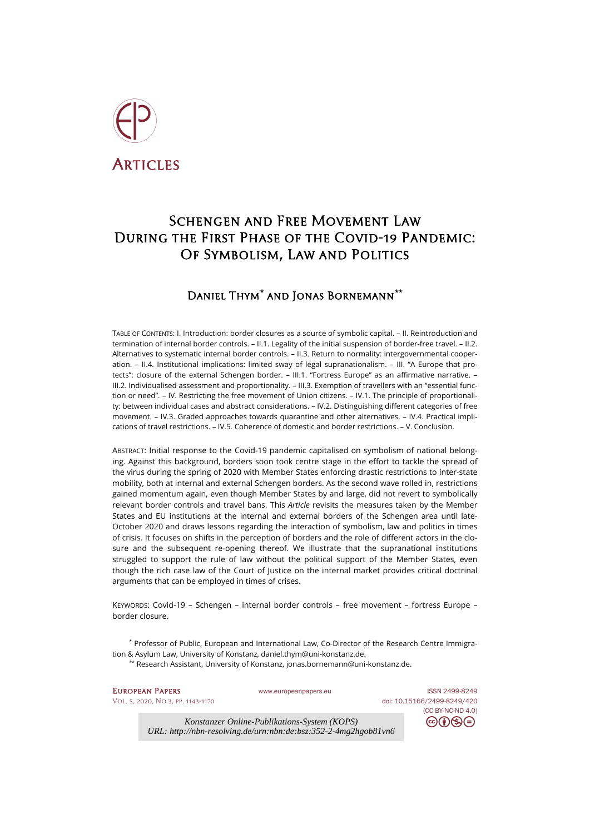

# Schengen and Free Movement Law During the First Phase of the Covid-19 Pandemic: Of Symbolism, Law and Politics

# Daniel Thym**[\\*](#page-0-0)** and Jonas Bornemann**[\\*\\*](#page-0-1)**

TABLE OF CONTENTS: I. Introduction: border closures as a source of symbolic capital. – II. Reintroduction and termination of internal border controls. – II.1. Legality of the initial suspension of border-free travel. – II.2. Alternatives to systematic internal border controls. – II.3. Return to normality: intergovernmental cooperation. – II.4. Institutional implications: limited sway of legal supranationalism. – III. "A Europe that protects": closure of the external Schengen border. – III.1. "Fortress Europe" as an affirmative narrative. – III.2. Individualised assessment and proportionality. – III.3. Exemption of travellers with an "essential function or need". – IV. Restricting the free movement of Union citizens. – IV.1. The principle of proportionality: between individual cases and abstract considerations. – IV.2. Distinguishing different categories of free movement. – IV.3. Graded approaches towards quarantine and other alternatives. – IV.4. Practical implications of travel restrictions. – IV.5. Coherence of domestic and border restrictions. – V. Conclusion.

ABSTRACT: Initial response to the Covid-19 pandemic capitalised on symbolism of national belonging. Against this background, borders soon took centre stage in the effort to tackle the spread of the virus during the spring of 2020 with Member States enforcing drastic restrictions to inter-state mobility, both at internal and external Schengen borders. As the second wave rolled in, restrictions gained momentum again, even though Member States by and large, did not revert to symbolically relevant border controls and travel bans. This *Article* revisits the measures taken by the Member States and EU institutions at the internal and external borders of the Schengen area until late-October 2020 and draws lessons regarding the interaction of symbolism, law and politics in times of crisis. It focuses on shifts in the perception of borders and the role of different actors in the closure and the subsequent re-opening thereof. We illustrate that the supranational institutions struggled to support the rule of law without the political support of the Member States, even though the rich case law of the Court of Justice on the internal market provides critical doctrinal arguments that can be employed in times of crises.

KEYWORDS: Covid-19 – Schengen – internal border controls – free movement – fortress Europe – border closure.

<span id="page-0-1"></span><span id="page-0-0"></span>\* Professor of Public, European and International Law, Co-Director of the Research Centre Immigration & Asylum Law, University of Konstanz, [daniel.thym@uni-konstanz.de.](mailto:daniel.thym@uni-konstanz.de)

\*\* Research Assistant, University of Konstanz[, jonas.bornemann@uni-konstanz.de.](mailto:jonas.bornemann@uni-konstanz.de)

[Vol. 5, 2020, No 3,](https://www.europeanpapers.eu/en/content/e-journal/EP_eJ_2020_3) pp. 1143-1170 doi[: 10.15166/2499-8249/420](https://search.datacite.org/works/10.15166/2499-8249/420)

EUROPEAN PAPERS WWW.europeanpapers.eu ISS[N 2499-8249](https://search.datacite.org/works?query=www.europeanpapers.eu)

[\(CC BY-NC-ND 4.0\)](https://creativecommons.org/licenses/by-nc-nd/4.0/)

⊝

*Konstanzer Online-Publikations-System (KOPS) URL: http://nbn-resolving.de/urn:nbn:de:bsz:352-2-4mg2hgob81vn6*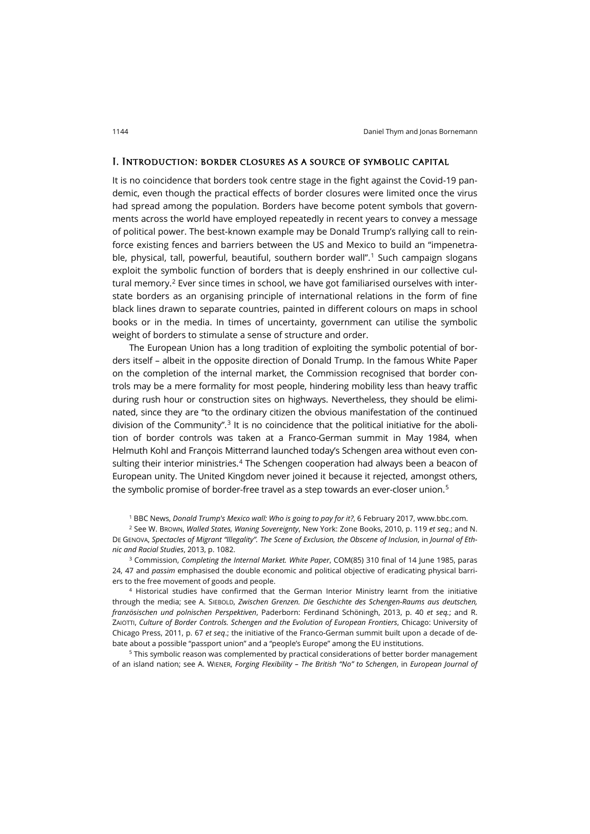### I. Introduction: border closures as a source of symbolic capital

It is no coincidence that borders took centre stage in the fight against the Covid-19 pandemic, even though the practical effects of border closures were limited once the virus had spread among the population. Borders have become potent symbols that governments across the world have employed repeatedly in recent years to convey a message of political power. The best-known example may be Donald Trump's rallying call to reinforce existing fences and barriers between the US and Mexico to build an "impenetrable, physical, tall, powerful, beautiful, southern border wall".[1](#page-1-0) Such campaign slogans exploit the symbolic function of borders that is deeply enshrined in our collective cul-tural memory.<sup>[2](#page-1-1)</sup> Ever since times in school, we have got familiarised ourselves with interstate borders as an organising principle of international relations in the form of fine black lines drawn to separate countries, painted in different colours on maps in school books or in the media. In times of uncertainty, government can utilise the symbolic weight of borders to stimulate a sense of structure and order.

The European Union has a long tradition of exploiting the symbolic potential of borders itself – albeit in the opposite direction of Donald Trump. In the famous White Paper on the completion of the internal market, the Commission recognised that border controls may be a mere formality for most people, hindering mobility less than heavy traffic during rush hour or construction sites on highways. Nevertheless, they should be eliminated, since they are "to the ordinary citizen the obvious manifestation of the continued division of the Community".<sup>[3](#page-1-2)</sup> It is no coincidence that the political initiative for the abolition of border controls was taken at a Franco-German summit in May 1984, when Helmuth Kohl and François Mitterrand launched today's Schengen area without even con-sulting their interior ministries.<sup>[4](#page-1-3)</sup> The Schengen cooperation had always been a beacon of European unity. The United Kingdom never joined it because it rejected, amongst others, the symbolic promise of border-free travel as a step towards an ever-closer union.<sup>[5](#page-1-4)</sup>

<sup>1</sup> BBC News, *Donald Trump's Mexico wall: Who is going to pay for it?*, 6 February 2017[, www.bbc.com.](https://www.bbc.com/news/world-us-canada-37243269)

<span id="page-1-1"></span><span id="page-1-0"></span><sup>2</sup> See W. BROWN, *Walled States, Waning Sovereignty*, New York: Zone Books, 2010, p. 119 *et seq.*; and N. DE GENOVA, *Spectacles of Migrant "Illegality". The Scene of Exclusion, the Obscene of Inclusion*, in *Journal of Ethnic and Racial Studies*, 2013, p. 1082.

<span id="page-1-2"></span><sup>3</sup> Commission, *Completing the Internal Market. White Paper*, COM(85) 310 final of 14 June 1985, paras 24, 47 and *passim* emphasised the double economic and political objective of eradicating physical barriers to the free movement of goods and people.

<span id="page-1-3"></span><sup>4</sup> Historical studies have confirmed that the German Interior Ministry learnt from the initiative through the media; see A. SIEBOLD, *Zwischen Grenzen. Die Geschichte des Schengen-Raums aus deutschen, französischen und polnischen Perspektiven*, Paderborn: Ferdinand Schöningh, 2013, p. 40 *et seq.*; and R. ZAIOTTI, *Culture of Border Controls. Schengen and the Evolution of European Frontiers*, Chicago: University of Chicago Press, 2011, p. 67 *et seq*.; the initiative of the Franco-German summit built upon a decade of debate about a possible "passport union" and a "people's Europe" among the EU institutions.

<span id="page-1-4"></span><sup>5</sup> This symbolic reason was complemented by practical considerations of better border management of an island nation; see A. WIENER, *Forging Flexibility – The British "No" to Schengen*, in *European Journal of*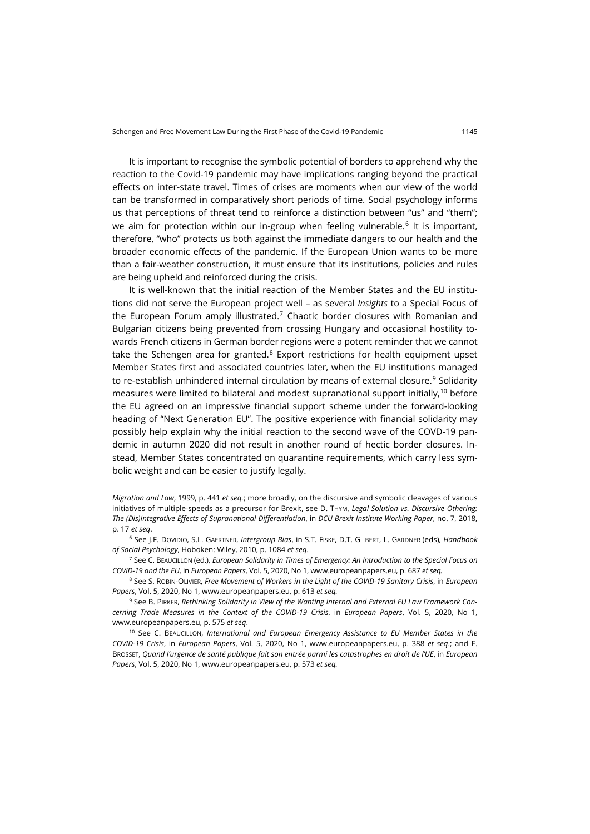It is important to recognise the symbolic potential of borders to apprehend why the reaction to the Covid-19 pandemic may have implications ranging beyond the practical effects on inter-state travel. Times of crises are moments when our view of the world can be transformed in comparatively short periods of time. Social psychology informs us that perceptions of threat tend to reinforce a distinction between "us" and "them"; we aim for protection within our in-group when feeling vulnerable.<sup>[6](#page-2-0)</sup> It is important, therefore, "who" protects us both against the immediate dangers to our health and the broader economic effects of the pandemic. If the European Union wants to be more than a fair-weather construction, it must ensure that its institutions, policies and rules are being upheld and reinforced during the crisis.

It is well-known that the initial reaction of the Member States and the EU institutions did not serve the European project well – as several *Insights* to a Special Focus of the European Forum amply illustrated.<sup>[7](#page-2-1)</sup> Chaotic border closures with Romanian and Bulgarian citizens being prevented from crossing Hungary and occasional hostility towards French citizens in German border regions were a potent reminder that we cannot take the Schengen area for granted. $8$  Export restrictions for health equipment upset Member States first and associated countries later, when the EU institutions managed to re-establish unhindered internal circulation by means of external closure.<sup>[9](#page-2-3)</sup> Solidarity measures were limited to bilateral and modest supranational support initially,[10](#page-2-4) before the EU agreed on an impressive financial support scheme under the forward-looking heading of "Next Generation EU". The positive experience with financial solidarity may possibly help explain why the initial reaction to the second wave of the COVD-19 pandemic in autumn 2020 did not result in another round of hectic border closures. Instead, Member States concentrated on quarantine requirements, which carry less symbolic weight and can be easier to justify legally.

*Migration and Law*, 1999, p. 441 *et seq.*; more broadly, on the discursive and symbolic cleavages of various initiatives of multiple-speeds as a precursor for Brexit, see D. THYM, *Legal Solution vs. Discursive Othering: The (Dis)Integrative Effects of Supranational Differentiation*, in *DCU Brexit Institute Working Paper*, no. 7, 2018, p. 17 *et seq*.

<span id="page-2-0"></span><sup>6</sup> See J.F. DOVIDIO, S.L. GAERTNER, *Intergroup Bias*, in S.T. FISKE, D.T. GILBERT, L. GARDNER (eds), *Handbook of Social Psychology*, Hoboken: Wiley, 2010, p. 1084 *et seq*.

<span id="page-2-1"></span><sup>7</sup> See C. BEAUCILLON (ed.), *European Solidarity in Times of Emergency: An Introduction to the Special Focus on COVID-19 and the EU*, in *European Papers*, Vol. 5, 2020, No 1[, www.europeanpapers.eu,](https://www.europeanpapers.eu/en/europeanforum/european-solidarity-in-times-of-emergency-introduction-special-focus-covid-19) p. 687 *et seq.*

<span id="page-2-2"></span><sup>8</sup> See S. ROBIN-OLIVIER, *Free Movement of Workers in the Light of the COVID-19 Sanitary Crisis*, in *European Papers*, Vol. 5, 2020, No 1, [www.europeanpapers.eu,](http://www.europeanpapers.eu/en/europeanforum/free-movement-of-workers-covid-19-sanitary-crisis) p. 613 *et seq.*

<span id="page-2-3"></span><sup>9</sup> See B. PIRKER, *Rethinking Solidarity in View of the Wanting Internal and External EU Law Framework Concerning Trade Measures in the Context of the COVID-19 Crisis*, in *European Papers*, Vol. 5, 2020, No 1, [www.europeanpapers.eu,](http://www.europeanpapers.eu/en/europeanforum/rethinking-solidarity-internal-and-external-trade-measures-during-covid-19) p. 575 *et seq*.

<span id="page-2-4"></span><sup>10</sup> See C. BEAUCILLON, *International and European Emergency Assistance to EU Member States in the COVID-19 Crisis*, in *European Papers*, Vol. 5, 2020, No 1, [www.europeanpapers.eu,](http://www.europeanpapers.eu/en/europeanforum/international-and-european-emergency-assistance-eu-member-states-during-covid-19-crisis) p. 388 *et seq*.; and E. BROSSET, *Quand l'urgence de santé publique fait son entrée parmi les catastrophes en droit de l'UE*, in *European Papers*, Vol. 5, 2020, No 1[, www.europeanpapers.eu,](http://www.europeanpapers.eu/en/europeanforum/quand-lurgence-de-sante-publique-fait-son-entree-covid-19) p. 573 *et seq.*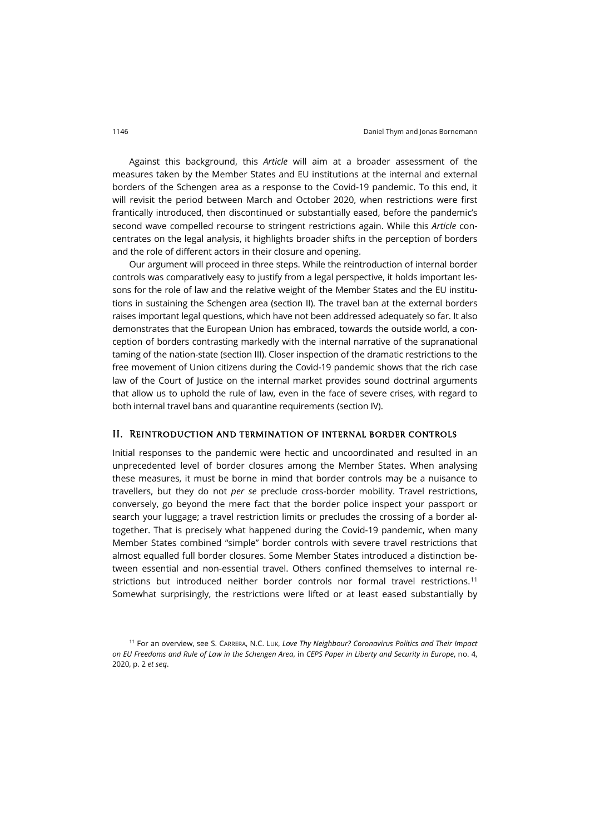Against this background, this *Article* will aim at a broader assessment of the measures taken by the Member States and EU institutions at the internal and external borders of the Schengen area as a response to the Covid-19 pandemic. To this end, it will revisit the period between March and October 2020, when restrictions were first frantically introduced, then discontinued or substantially eased, before the pandemic's second wave compelled recourse to stringent restrictions again. While this *Article* concentrates on the legal analysis, it highlights broader shifts in the perception of borders and the role of different actors in their closure and opening.

Our argument will proceed in three steps. While the reintroduction of internal border controls was comparatively easy to justify from a legal perspective, it holds important lessons for the role of law and the relative weight of the Member States and the EU institutions in sustaining the Schengen area (section II). The travel ban at the external borders raises important legal questions, which have not been addressed adequately so far. It also demonstrates that the European Union has embraced, towards the outside world, a conception of borders contrasting markedly with the internal narrative of the supranational taming of the nation-state (section III). Closer inspection of the dramatic restrictions to the free movement of Union citizens during the Covid-19 pandemic shows that the rich case law of the Court of Justice on the internal market provides sound doctrinal arguments that allow us to uphold the rule of law, even in the face of severe crises, with regard to both internal travel bans and quarantine requirements (section IV).

### II. Reintroduction and termination of internal border controls

Initial responses to the pandemic were hectic and uncoordinated and resulted in an unprecedented level of border closures among the Member States. When analysing these measures, it must be borne in mind that border controls may be a nuisance to travellers, but they do not *per se* preclude cross-border mobility. Travel restrictions, conversely, go beyond the mere fact that the border police inspect your passport or search your luggage; a travel restriction limits or precludes the crossing of a border altogether. That is precisely what happened during the Covid-19 pandemic, when many Member States combined "simple" border controls with severe travel restrictions that almost equalled full border closures. Some Member States introduced a distinction between essential and non-essential travel. Others confined themselves to internal restrictions but introduced neither border controls nor formal travel restrictions.[11](#page-3-0) Somewhat surprisingly, the restrictions were lifted or at least eased substantially by

<span id="page-3-0"></span><sup>11</sup> For an overview, see S. CARRERA, N.C. LUK, *Love Thy Neighbour? Coronavirus Politics and Their Impact on EU Freedoms and Rule of Law in the Schengen Area*, in *CEPS Paper in Liberty and Security in Europe*, no. 4, 2020, p. 2 *et seq*.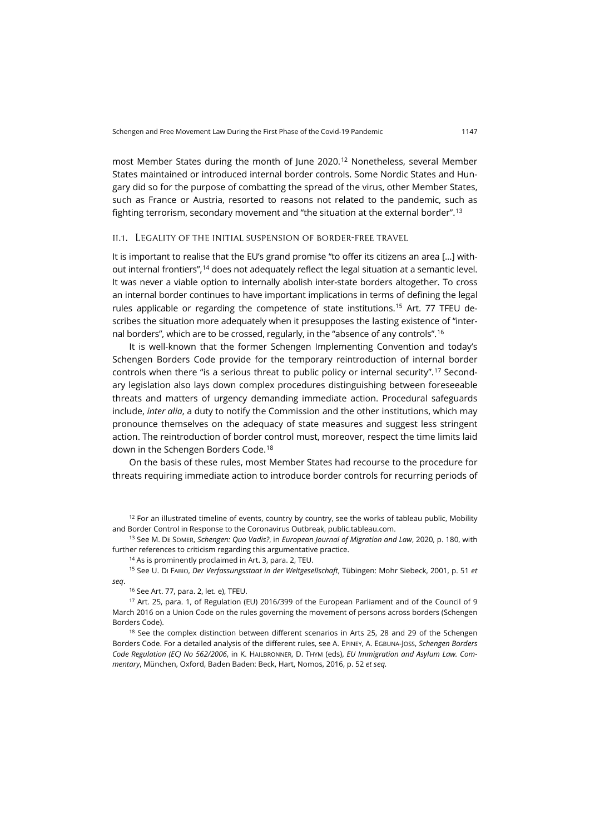most Member States during the month of June 2020.[12](#page-4-0) Nonetheless, several Member States maintained or introduced internal border controls. Some Nordic States and Hungary did so for the purpose of combatting the spread of the virus, other Member States, such as France or Austria, resorted to reasons not related to the pandemic, such as fighting terrorism, secondary movement and "the situation at the external border".[13](#page-4-1)

### ii.1. Legality of the initial suspension of border-free travel

It is important to realise that the EU's grand promise "to offer its citizens an area […] without internal frontiers",[14](#page-4-2) does not adequately reflect the legal situation at a semantic level. It was never a viable option to internally abolish inter-state borders altogether. To cross an internal border continues to have important implications in terms of defining the legal rules applicable or regarding the competence of state institutions.[15](#page-4-3) Art. 77 TFEU describes the situation more adequately when it presupposes the lasting existence of "internal borders", which are to be crossed, regularly, in the "absence of any controls".[16](#page-4-4)

It is well-known that the former Schengen Implementing Convention and today's Schengen Borders Code provide for the temporary reintroduction of internal border controls when there "is a serious threat to public policy or internal security".[17](#page-4-5) Secondary legislation also lays down complex procedures distinguishing between foreseeable threats and matters of urgency demanding immediate action. Procedural safeguards include, *inter alia*, a duty to notify the Commission and the other institutions, which may pronounce themselves on the adequacy of state measures and suggest less stringent action. The reintroduction of border control must, moreover, respect the time limits laid down in the Schengen Borders Code.[18](#page-4-6)

On the basis of these rules, most Member States had recourse to the procedure for threats requiring immediate action to introduce border controls for recurring periods of

<span id="page-4-1"></span><sup>13</sup> See M. DE SOMER, *Schengen: Quo Vadis?*, in *European Journal of Migration and Law*, 2020, p. 180, with further references to criticism regarding this argumentative practice.

<sup>14</sup> As is prominently proclaimed in Art. 3, para. 2, TEU.

<span id="page-4-3"></span><span id="page-4-2"></span><sup>15</sup> See U. DI FABIO, *Der Verfassungsstaat in der Weltgesellschaft*, Tübingen: Mohr Siebeck, 2001, p. 51 *et seq*.

<sup>16</sup> See Art. 77, para. 2, let. e), TFEU.

<span id="page-4-5"></span><span id="page-4-4"></span><sup>17</sup> Art. 25, para. 1, of Regulation (EU) 2016/399 of the European Parliament and of the Council of 9 March 2016 on a Union Code on the rules governing the movement of persons across borders (Schengen Borders Code).

<span id="page-4-6"></span><sup>18</sup> See the complex distinction between different scenarios in Arts 25, 28 and 29 of the Schengen Borders Code. For a detailed analysis of the different rules, see A. EPINEY, A. EGBUNA-JOSS, *Schengen Borders Code Regulation (EC) No 562/2006*, in K. HAILBRONNER, D. THYM (eds), *EU Immigration and Asylum Law. Commentary*, München, Oxford, Baden Baden: Beck, Hart, Nomos, 2016, p. 52 *et seq.*

<span id="page-4-0"></span> $12$  For an illustrated timeline of events, country by country, see the works of tableau public, Mobility and Border Control in Response to the Coronavirus Outbreak[, public.tableau.com.](https://public.tableau.com/profile/andreas.perret#!/vizhome/MobilityandBorders/MobilityandBorder)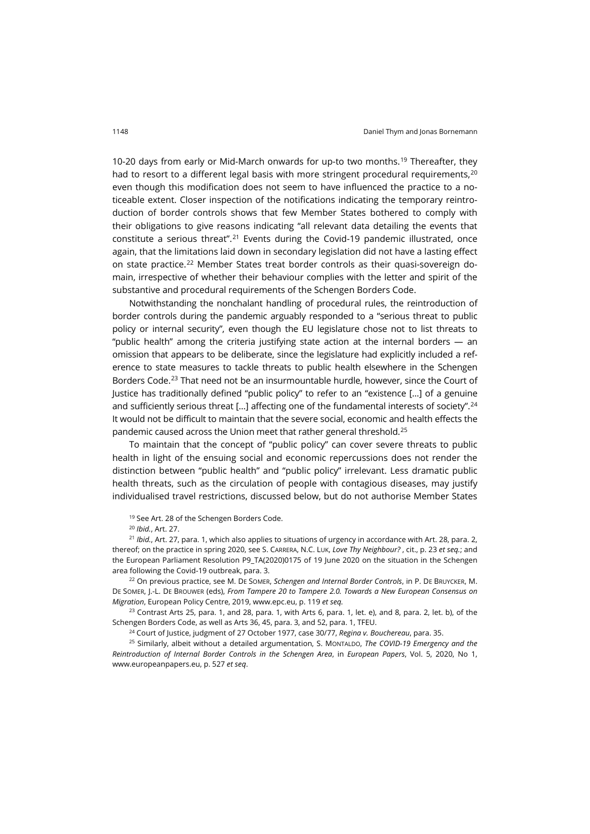10-20 days from early or Mid-March onwards for up-to two months.[19](#page-5-0) Thereafter, they had to resort to a different legal basis with more stringent procedural requirements.<sup>[20](#page-5-1)</sup> even though this modification does not seem to have influenced the practice to a noticeable extent. Closer inspection of the notifications indicating the temporary reintroduction of border controls shows that few Member States bothered to comply with their obligations to give reasons indicating "all relevant data detailing the events that constitute a serious threat".<sup>[21](#page-5-2)</sup> Events during the Covid-19 pandemic illustrated, once again, that the limitations laid down in secondary legislation did not have a lasting effect on state practice.[22](#page-5-3) Member States treat border controls as their quasi-sovereign domain, irrespective of whether their behaviour complies with the letter and spirit of the substantive and procedural requirements of the Schengen Borders Code.

Notwithstanding the nonchalant handling of procedural rules, the reintroduction of border controls during the pandemic arguably responded to a "serious threat to public policy or internal security", even though the EU legislature chose not to list threats to "public health" among the criteria justifying state action at the internal borders — an omission that appears to be deliberate, since the legislature had explicitly included a reference to state measures to tackle threats to public health elsewhere in the Schengen Borders Code.<sup>[23](#page-5-4)</sup> That need not be an insurmountable hurdle, however, since the Court of Justice has traditionally defined "public policy" to refer to an "existence […] of a genuine and sufficiently serious threat  $[...]$  affecting one of the fundamental interests of society".<sup>[24](#page-5-5)</sup> It would not be difficult to maintain that the severe social, economic and health effects the pandemic caused across the Union meet that rather general threshold.[25](#page-5-6)

To maintain that the concept of "public policy" can cover severe threats to public health in light of the ensuing social and economic repercussions does not render the distinction between "public health" and "public policy" irrelevant. Less dramatic public health threats, such as the circulation of people with contagious diseases, may justify individualised travel restrictions, discussed below, but do not authorise Member States

<sup>19</sup> See Art. 28 of the Schengen Borders Code.

<sup>20</sup> *Ibid.*, Art. 27.

<span id="page-5-2"></span><span id="page-5-1"></span><span id="page-5-0"></span><sup>21</sup> *Ibid.*, Art. 27, para. 1, which also applies to situations of urgency in accordance with Art. 28, para. 2, thereof; on the practice in spring 2020, see S. CARRERA, N.C. LUK, *Love Thy Neighbour?* , cit., p. 23 *et seq.*; and the European Parliament Resolution P9\_TA(2020)0175 of 19 June 2020 on the situation in the Schengen area following the Covid-19 outbreak, para. 3.

<span id="page-5-3"></span><sup>22</sup> On previous practice, see M. DE SOMER, *Schengen and Internal Border Controls*, in P. DE BRUYCKER, M. DE SOMER, J.-L. DE BROUWER (eds), *From Tampere 20 to Tampere 2.0. Towards a New European Consensus on Migration*, European Policy Centre, 2019, [www.epc.eu,](https://www.epc.eu/en/Publications/From-Tampere-20-to-Tampere-20-Towards-a-new-European-consensus-on-mi%7E2d99d4) p. 119 *et seq.*

<span id="page-5-4"></span> $23$  Contrast Arts 25, para. 1, and 28, para. 1, with Arts 6, para. 1, let. e), and 8, para. 2, let. b), of the Schengen Borders Code, as well as Arts 36, 45, para. 3, and 52, para. 1, TFEU.

<sup>24</sup> Court of Justice, judgment of 27 October 1977, case 30/77, *Regina v. Bouchereau*, para. 35.

<span id="page-5-6"></span><span id="page-5-5"></span><sup>25</sup> Similarly, albeit without a detailed argumentation, S. MONTALDO, *The COVID-19 Emergency and the Reintroduction of Internal Border Controls in the Schengen Area*, in *European Papers*, Vol. 5, 2020, No 1, [www.europeanpapers.eu,](http://www.europeanpapers.eu/en/europeanforum/covid-19-emergency-and-reintroduction-internal-border-controls-schengen-area) p. 527 *et seq*.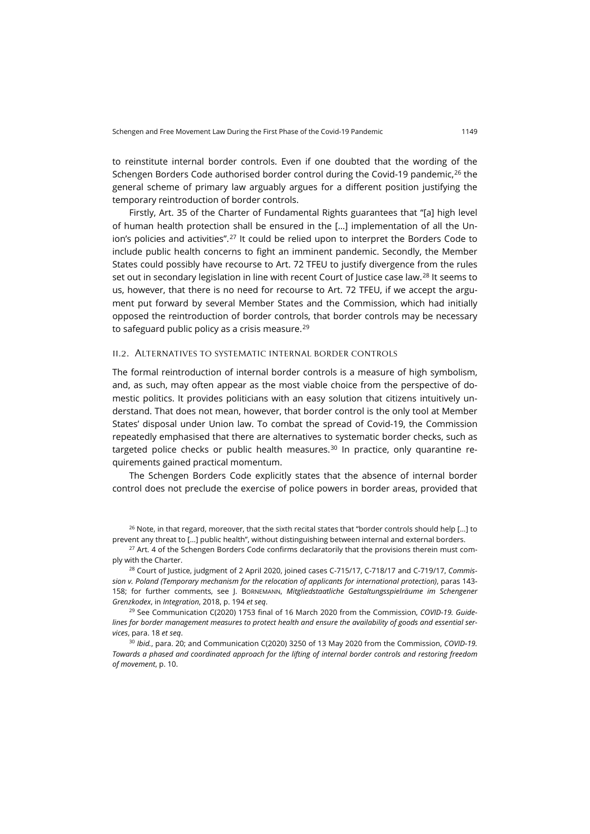to reinstitute internal border controls. Even if one doubted that the wording of the Schengen Borders Code authorised border control during the Covid-19 pandemic.<sup>[26](#page-6-0)</sup> the general scheme of primary law arguably argues for a different position justifying the temporary reintroduction of border controls.

<span id="page-6-5"></span>Firstly, Art. 35 of the Charter of Fundamental Rights guarantees that "[a] high level of human health protection shall be ensured in the […] implementation of all the Un-ion's policies and activities".<sup>[27](#page-6-1)</sup> It could be relied upon to interpret the Borders Code to include public health concerns to fight an imminent pandemic. Secondly, the Member States could possibly have recourse to Art. 72 TFEU to justify divergence from the rules set out in secondary legislation in line with recent Court of Justice case law.<sup>[28](#page-6-2)</sup> It seems to us, however, that there is no need for recourse to Art. 72 TFEU, if we accept the argument put forward by several Member States and the Commission, which had initially opposed the reintroduction of border controls, that border controls may be necessary to safeguard public policy as a crisis measure. $^{29}$  $^{29}$  $^{29}$ 

### ii.2. Alternatives to systematic internal border controls

The formal reintroduction of internal border controls is a measure of high symbolism, and, as such, may often appear as the most viable choice from the perspective of domestic politics. It provides politicians with an easy solution that citizens intuitively understand. That does not mean, however, that border control is the only tool at Member States' disposal under Union law. To combat the spread of Covid-19, the Commission repeatedly emphasised that there are alternatives to systematic border checks, such as targeted police checks or public health measures. $30$  In practice, only quarantine requirements gained practical momentum.

The Schengen Borders Code explicitly states that the absence of internal border control does not preclude the exercise of police powers in border areas, provided that

<span id="page-6-0"></span><sup>26</sup> Note, in that regard, moreover, that the sixth recital states that "border controls should help [...] to prevent any threat to […] public health", without distinguishing between internal and external borders.

<span id="page-6-1"></span><sup>27</sup> Art. 4 of the Schengen Borders Code confirms declaratorily that the provisions therein must comply with the Charter.

<span id="page-6-2"></span><sup>28</sup> Court of Justice, judgment of 2 April 2020, joined cases C-715/17, C-718/17 and C-719/17, *Commission v. Poland (Temporary mechanism for the relocation of applicants for international protection)*, paras 143- 158; for further comments, see J. BORNEMANN, *Mitgliedstaatliche Gestaltungsspielräume im Schengener Grenzkodex*, in *Integration*, 2018, p. 194 *et seq*.

<span id="page-6-3"></span><sup>29</sup> See Communication C(2020) 1753 final of 16 March 2020 from the Commission, *COVID-19. Guidelines for border management measures to protect health and ensure the availability of goods and essential services*, para. 18 *et seq*.

<span id="page-6-4"></span><sup>30</sup> *Ibid.*, para. 20; and Communication C(2020) 3250 of 13 May 2020 from the Commission, *COVID-19. Towards a phased and coordinated approach for the lifting of internal border controls and restoring freedom of movement*, p. 10.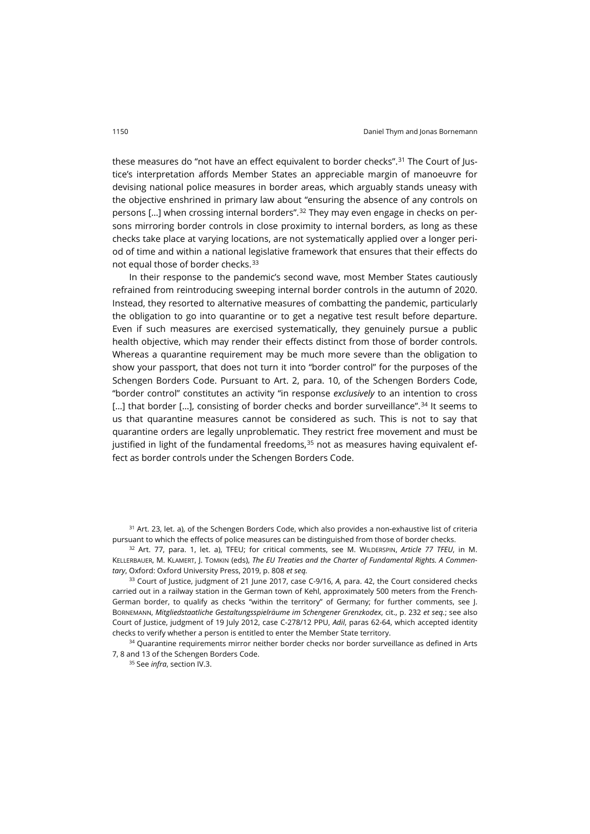these measures do "not have an effect equivalent to border checks".<sup>[31](#page-7-0)</sup> The Court of Justice's interpretation affords Member States an appreciable margin of manoeuvre for devising national police measures in border areas, which arguably stands uneasy with the objective enshrined in primary law about "ensuring the absence of any controls on persons [...] when crossing internal borders".<sup>[32](#page-7-1)</sup> They may even engage in checks on persons mirroring border controls in close proximity to internal borders, as long as these checks take place at varying locations, are not systematically applied over a longer period of time and within a national legislative framework that ensures that their effects do not equal those of border checks.[33](#page-7-2)

In their response to the pandemic's second wave, most Member States cautiously refrained from reintroducing sweeping internal border controls in the autumn of 2020. Instead, they resorted to alternative measures of combatting the pandemic, particularly the obligation to go into quarantine or to get a negative test result before departure. Even if such measures are exercised systematically, they genuinely pursue a public health objective, which may render their effects distinct from those of border controls. Whereas a quarantine requirement may be much more severe than the obligation to show your passport, that does not turn it into "border control" for the purposes of the Schengen Borders Code. Pursuant to Art. 2, para. 10, of the Schengen Borders Code, "border control" constitutes an activity "in response *exclusively* to an intention to cross [...] that border [...], consisting of border checks and border surveillance".<sup>[34](#page-7-3)</sup> It seems to us that quarantine measures cannot be considered as such. This is not to say that quarantine orders are legally unproblematic. They restrict free movement and must be justified in light of the fundamental freedoms, $35$  not as measures having equivalent effect as border controls under the Schengen Borders Code.

<span id="page-7-0"></span><sup>31</sup> Art. 23, let. a), of the Schengen Borders Code, which also provides a non-exhaustive list of criteria pursuant to which the effects of police measures can be distinguished from those of border checks.

<span id="page-7-1"></span><sup>32</sup> Art. 77, para. 1, let. a), TFEU; for critical comments, see M. WILDERSPIN, *Article 77 TFEU*, in M. KELLERBAUER, M. KLAMERT, J. TOMKIN (eds), *The EU Treaties and the Charter of Fundamental Rights. A Commentary*, Oxford: Oxford University Press, 2019, p. 808 *et seq.*

<span id="page-7-2"></span><sup>33</sup> Court of Justice, judgment of 21 June 2017, case C-9/16, *A*, para. 42, the Court considered checks carried out in a railway station in the German town of Kehl, approximately 500 meters from the French-German border, to qualify as checks "within the territory" of Germany; for further comments, see J. BORNEMANN, *Mitgliedstaatliche Gestaltungsspielräume im Schengener Grenzkodex*, cit., p. 232 *et seq.*; see also Court of Justice, judgment of 19 July 2012, case C-278/12 PPU, *Adil*, paras 62-64, which accepted identity checks to verify whether a person is entitled to enter the Member State territory.

<span id="page-7-4"></span><span id="page-7-3"></span><sup>34</sup> Quarantine requirements mirror neither border checks nor border surveillance as defined in Arts 7, 8 and 13 of the Schengen Borders Code.

<sup>35</sup> See *infra*, section IV.3.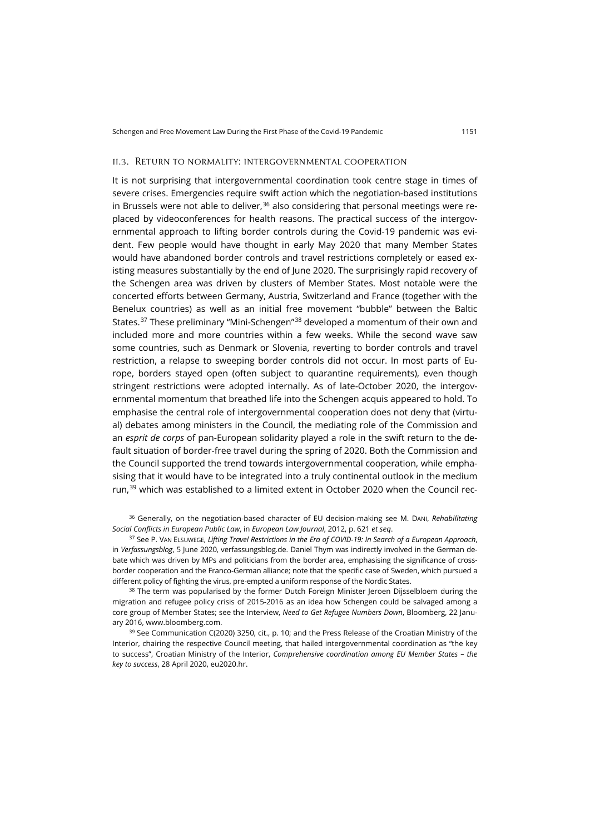#### ii.3. Return to normality: intergovernmental cooperation

It is not surprising that intergovernmental coordination took centre stage in times of severe crises. Emergencies require swift action which the negotiation-based institutions in Brussels were not able to deliver, $36$  also considering that personal meetings were replaced by videoconferences for health reasons. The practical success of the intergovernmental approach to lifting border controls during the Covid-19 pandemic was evident. Few people would have thought in early May 2020 that many Member States would have abandoned border controls and travel restrictions completely or eased existing measures substantially by the end of June 2020. The surprisingly rapid recovery of the Schengen area was driven by clusters of Member States. Most notable were the concerted efforts between Germany, Austria, Switzerland and France (together with the Benelux countries) as well as an initial free movement "bubble" between the Baltic States.[37](#page-8-1) These preliminary "Mini-Schengen"[38](#page-8-2) developed a momentum of their own and included more and more countries within a few weeks. While the second wave saw some countries, such as Denmark or Slovenia, reverting to border controls and travel restriction, a relapse to sweeping border controls did not occur. In most parts of Europe, borders stayed open (often subject to quarantine requirements), even though stringent restrictions were adopted internally. As of late-October 2020, the intergovernmental momentum that breathed life into the Schengen acquis appeared to hold. To emphasise the central role of intergovernmental cooperation does not deny that (virtual) debates among ministers in the Council, the mediating role of the Commission and an *esprit de corps* of pan-European solidarity played a role in the swift return to the default situation of border-free travel during the spring of 2020. Both the Commission and the Council supported the trend towards intergovernmental cooperation, while emphasising that it would have to be integrated into a truly continental outlook in the medium run,<sup>[39](#page-8-3)</sup> which was established to a limited extent in October 2020 when the Council rec-

<span id="page-8-0"></span><sup>36</sup> Generally, on the negotiation-based character of EU decision-making see M. DANI, *Rehabilitating Social Conflicts in European Public Law*, in *European Law Journal*, 2012, p. 621 *et seq*.

<span id="page-8-1"></span><sup>37</sup> See P. VAN ELSUWEGE, *Lifting Travel Restrictions in the Era of COVID-19: In Search of a European Approach*, in *Verfassungsblog*, 5 June 2020[, verfassungsblog.de.](https://verfassungsblog.de/lifting-travel-restrictions-in-the-era-of-covid-19-in-search-of-a-european-approach/) Daniel Thym was indirectly involved in the German debate which was driven by MPs and politicians from the border area, emphasising the significance of crossborder cooperation and the Franco-German alliance; note that the specific case of Sweden, which pursued a different policy of fighting the virus, pre-empted a uniform response of the Nordic States.

<span id="page-8-2"></span><sup>38</sup> The term was popularised by the former Dutch Foreign Minister Jeroen Dijsselbloem during the migration and refugee policy crisis of 2015-2016 as an idea how Schengen could be salvaged among a core group of Member States; see the Interview, *Need to Get Refugee Numbers Down*, Bloomberg, 22 January 2016[, www.bloomberg.com.](https://www.bloomberg.com/news/videos/2016-01-22/need-to-get-refugee-numbers-down-dijsselbloem)

<span id="page-8-3"></span><sup>39</sup> See Communication C(2020) 3250, cit., p. 10; and the Press Release of the Croatian Ministry of the Interior, chairing the respective Council meeting, that hailed intergovernmental coordination as "the key to success", Croatian Ministry of the Interior, *Comprehensive coordination among EU Member States – the key to success*, 28 April 2020, [eu2020.hr.](https://eu2020.hr/Home/OneNews?id=262&utm_source=DSMS&utm_medium=email&utm_campaign=Video+conference+of+ministers+of+home+affairs%2c+28+April+2020&utm_term=952.24782.42844.0.24782&utm_content=Direct+Meetings.)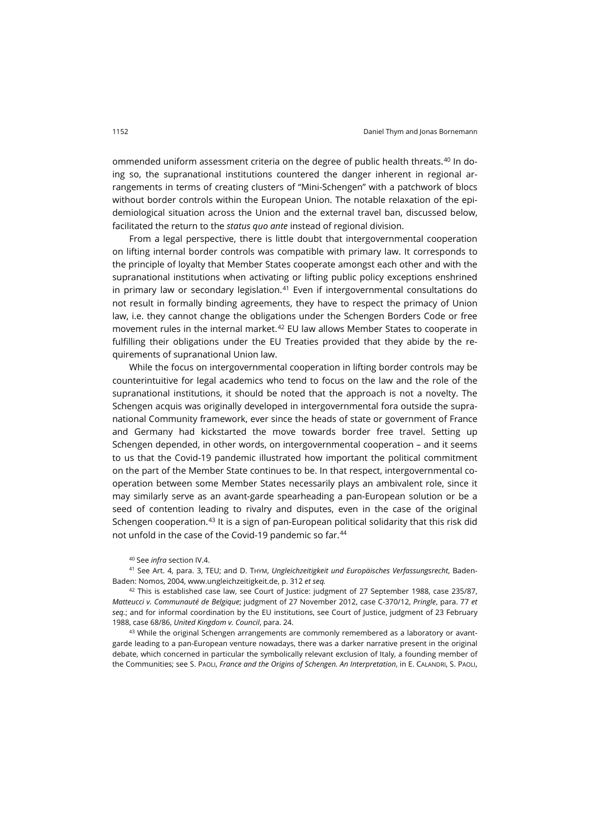ommended uniform assessment criteria on the degree of public health threats.<sup>[40](#page-9-0)</sup> In doing so, the supranational institutions countered the danger inherent in regional arrangements in terms of creating clusters of "Mini-Schengen" with a patchwork of blocs without border controls within the European Union. The notable relaxation of the epidemiological situation across the Union and the external travel ban, discussed below, facilitated the return to the *status quo ante* instead of regional division.

From a legal perspective, there is little doubt that intergovernmental cooperation on lifting internal border controls was compatible with primary law. It corresponds to the principle of loyalty that Member States cooperate amongst each other and with the supranational institutions when activating or lifting public policy exceptions enshrined in primary law or secondary legislation. $41$  Even if intergovernmental consultations do not result in formally binding agreements, they have to respect the primacy of Union law, i.e. they cannot change the obligations under the Schengen Borders Code or free movement rules in the internal market.<sup>[42](#page-9-2)</sup> EU law allows Member States to cooperate in fulfilling their obligations under the EU Treaties provided that they abide by the requirements of supranational Union law.

While the focus on intergovernmental cooperation in lifting border controls may be counterintuitive for legal academics who tend to focus on the law and the role of the supranational institutions, it should be noted that the approach is not a novelty. The Schengen acquis was originally developed in intergovernmental fora outside the supranational Community framework, ever since the heads of state or government of France and Germany had kickstarted the move towards border free travel. Setting up Schengen depended, in other words, on intergovernmental cooperation – and it seems to us that the Covid-19 pandemic illustrated how important the political commitment on the part of the Member State continues to be. In that respect, intergovernmental cooperation between some Member States necessarily plays an ambivalent role, since it may similarly serve as an avant-garde spearheading a pan-European solution or be a seed of contention leading to rivalry and disputes, even in the case of the original Schengen cooperation.<sup>[43](#page-9-3)</sup> It is a sign of pan-European political solidarity that this risk did not unfold in the case of the Covid-19 pandemic so far.<sup>[44](#page-9-4)</sup>

#### <sup>40</sup> See *infra* section IV.4.

<span id="page-9-4"></span><span id="page-9-1"></span><span id="page-9-0"></span><sup>41</sup> See Art. 4, para. 3, TEU; and D. THYM, *Ungleichzeitigkeit und Europäisches Verfassungsrecht*, Baden-Baden: Nomos, 2004[, www.ungleichzeitigkeit.de,](http://www.ungleichzeitigkeit.de/) p. 312 *et seq.*

<span id="page-9-2"></span><sup>42</sup> This is established case law, see Court of Justice: judgment of 27 September 1988, case 235/87, *Matteucci v. Communauté de Belgique*; judgment of 27 November 2012, case C-370/12, *Pringle*, para. 77 *et seq.*; and for informal coordination by the EU institutions, see Court of Justice, judgment of 23 February 1988, case 68/86, *United Kingdom v. Council*, para. 24.

<span id="page-9-3"></span> $43$  While the original Schengen arrangements are commonly remembered as a laboratory or avantgarde leading to a pan-European venture nowadays, there was a darker narrative present in the original debate, which concerned in particular the symbolically relevant exclusion of Italy, a founding member of the Communities; see S. PAOLI, *France and the Origins of Schengen. An Interpretation*, in E. CALANDRI, S. PAOLI,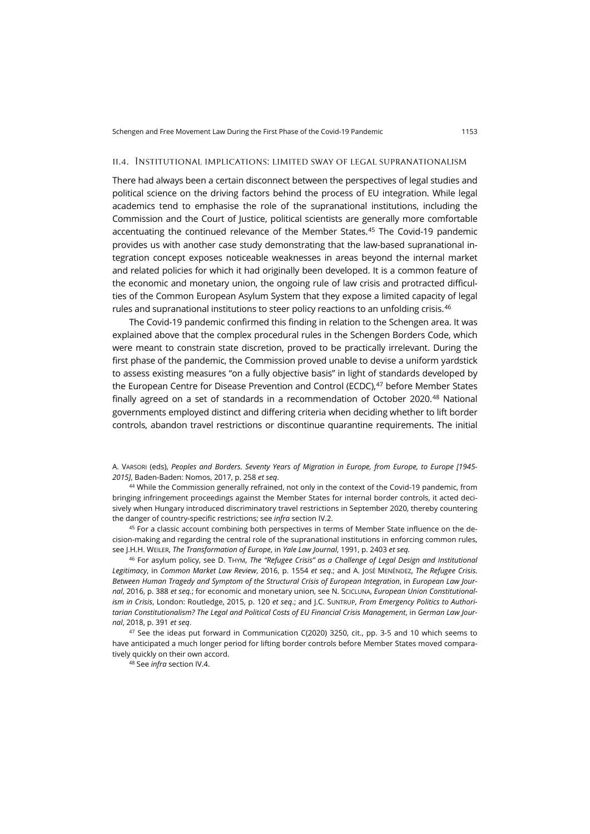### ii.4. Institutional implications: limited sway of legal supranationalism

There had always been a certain disconnect between the perspectives of legal studies and political science on the driving factors behind the process of EU integration. While legal academics tend to emphasise the role of the supranational institutions, including the Commission and the Court of Justice, political scientists are generally more comfortable accentuating the continued relevance of the Member States.[45](#page-10-0) The Covid-19 pandemic provides us with another case study demonstrating that the law-based supranational integration concept exposes noticeable weaknesses in areas beyond the internal market and related policies for which it had originally been developed. It is a common feature of the economic and monetary union, the ongoing rule of law crisis and protracted difficulties of the Common European Asylum System that they expose a limited capacity of legal rules and supranational institutions to steer policy reactions to an unfolding crisis.<sup>[46](#page-10-1)</sup>

The Covid-19 pandemic confirmed this finding in relation to the Schengen area. It was explained above that the complex procedural rules in the Schengen Borders Code, which were meant to constrain state discretion, proved to be practically irrelevant. During the first phase of the pandemic, the Commission proved unable to devise a uniform yardstick to assess existing measures "on a fully objective basis" in light of standards developed by the European Centre for Disease Prevention and Control (ECDC), $47$  before Member States finally agreed on a set of standards in a recommendation of October 2020.[48](#page-10-3) National governments employed distinct and differing criteria when deciding whether to lift border controls, abandon travel restrictions or discontinue quarantine requirements. The initial

A. VARSORI (eds), *Peoples and Borders. Seventy Years of Migration in Europe, from Europe, to Europe [1945- 2015]*, Baden-Baden: Nomos, 2017, p. 258 *et seq*.

44 While the Commission generally refrained, not only in the context of the Covid-19 pandemic, from bringing infringement proceedings against the Member States for internal border controls, it acted decisively when Hungary introduced discriminatory travel restrictions in September 2020, thereby countering the danger of country-specific restrictions; see *infra* section IV.2.

<span id="page-10-0"></span>45 For a classic account combining both perspectives in terms of Member State influence on the decision-making and regarding the central role of the supranational institutions in enforcing common rules, see J.H.H. WEILER, *The Transformation of Europe*, in *Yale Law Journal*, 1991, p. 2403 *et seq.*

<span id="page-10-1"></span><sup>46</sup> For asylum policy, see D. THYM, *The "Refugee Crisis" as a Challenge of Legal Design and Institutional Legitimacy*, in *Common Market Law Review*, 2016, p. 1554 *et seq*.; and A. JOSÉ MENÉNDEZ, *The Refugee Crisis. Between Human Tragedy and Symptom of the Structural Crisis of European Integration*, in *European Law Journal*, 2016, p. 388 *et seq.*; for economic and monetary union, see N. SCICLUNA, *European Union Constitutionalism in Crisis*, London: Routledge, 2015, p. 120 *et seq*.; and J.C. SUNTRUP, *From Emergency Politics to Authoritarian Constitutionalism? The Legal and Political Costs of EU Financial Crisis Management*, in *German Law Journal*, 2018, p. 391 *et seq*.

<span id="page-10-3"></span><span id="page-10-2"></span> $47$  See the ideas put forward in Communication C(2020) 3250, cit., pp. 3-5 and 10 which seems to have anticipated a much longer period for lifting border controls before Member States moved comparatively quickly on their own accord.

<sup>48</sup> See *infra* section IV.4.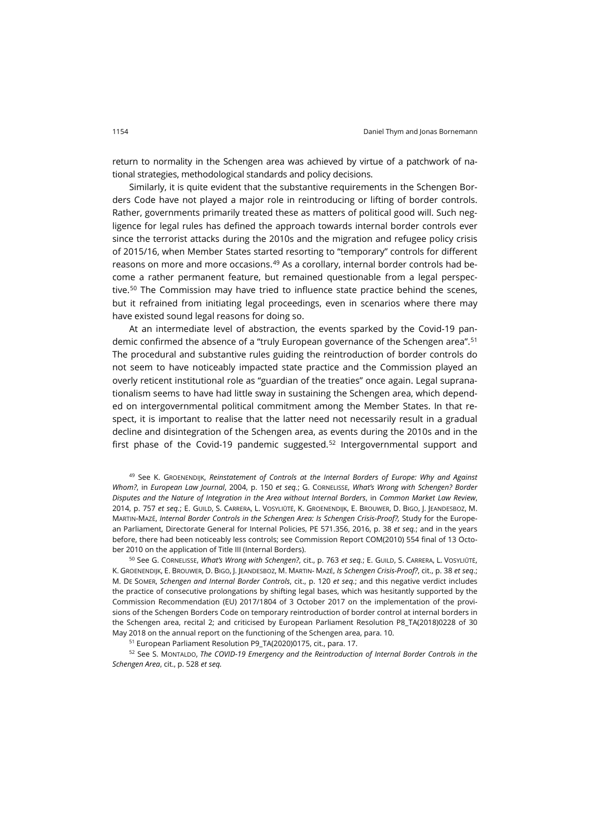return to normality in the Schengen area was achieved by virtue of a patchwork of national strategies, methodological standards and policy decisions.

Similarly, it is quite evident that the substantive requirements in the Schengen Borders Code have not played a major role in reintroducing or lifting of border controls. Rather, governments primarily treated these as matters of political good will. Such negligence for legal rules has defined the approach towards internal border controls ever since the terrorist attacks during the 2010s and the migration and refugee policy crisis of 2015/16, when Member States started resorting to "temporary" controls for different reasons on more and more occasions.<sup>[49](#page-11-0)</sup> As a corollary, internal border controls had become a rather permanent feature, but remained questionable from a legal perspec-tive.<sup>[50](#page-11-1)</sup> The Commission may have tried to influence state practice behind the scenes, but it refrained from initiating legal proceedings, even in scenarios where there may have existed sound legal reasons for doing so.

At an intermediate level of abstraction, the events sparked by the Covid-19 pandemic confirmed the absence of a "truly European governance of the Schengen area".[51](#page-11-2) The procedural and substantive rules guiding the reintroduction of border controls do not seem to have noticeably impacted state practice and the Commission played an overly reticent institutional role as "guardian of the treaties" once again. Legal supranationalism seems to have had little sway in sustaining the Schengen area, which depended on intergovernmental political commitment among the Member States. In that respect, it is important to realise that the latter need not necessarily result in a gradual decline and disintegration of the Schengen area, as events during the 2010s and in the first phase of the Covid-19 pandemic suggested.<sup>[52](#page-11-3)</sup> Intergovernmental support and

<span id="page-11-0"></span><sup>49</sup> See K. GROENENDIJK, *Reinstatement of Controls at the Internal Borders of Europe: Why and Against Whom?*, in *European Law Journal*, 2004, p. 150 *et seq.*; G. CORNELISSE, *What's Wrong with Schengen? Border Disputes and the Nature of Integration in the Area without Internal Borders*, in *Common Market Law Review*, 2014, p. 757 *et seq.*; E. GUILD, S. CARRERA, L. VOSYLIŪTĖ, K. GROENENDIJK, E. BROUWER, D. BIGO, J. JEANDESBOZ, M. MARTIN-MAZÉ, *Internal Border Controls in the Schengen Area: Is Schengen Crisis-Proof?,* Study for the European Parliament, Directorate General for Internal Policies, PE 571.356, 2016, p. 38 *et seq.*; and in the years before, there had been noticeably less controls; see Commission Report COM(2010) 554 final of 13 October 2010 on the application of Title III (Internal Borders).

<span id="page-11-1"></span><sup>50</sup> See G. CORNELISSE, *What's Wrong with Schengen?*, cit., p. 763 *et seq.*; E. GUILD, S. CARRERA, L. VOSYLIŪTĖ, K. GROENENDIJK, E. BROUWER, D. BIGO, J. JEANDESBOZ, M. MARTIN- MAZÉ, *Is Schengen Crisis-Proof?*, cit., p. 38 *et seq*.; M. DE SOMER, *Schengen and Internal Border Controls*, cit., p. 120 *et seq.*; and this negative verdict includes the practice of consecutive prolongations by shifting legal bases, which was hesitantly supported by the Commission Recommendation (EU) 2017/1804 of 3 October 2017 on the implementation of the provisions of the Schengen Borders Code on temporary reintroduction of border control at internal borders in the Schengen area, recital 2; and criticised by European Parliament Resolution P8\_TA(2018)0228 of 30 May 2018 on the annual report on the functioning of the Schengen area, para. 10.

<sup>51</sup> European Parliament Resolution P9\_TA(2020)0175, cit., para. 17.

<span id="page-11-3"></span><span id="page-11-2"></span><sup>52</sup> See S. MONTALDO, *The COVID-19 Emergency and the Reintroduction of Internal Border Controls in the Schengen Area*, cit., p. 528 *et seq.*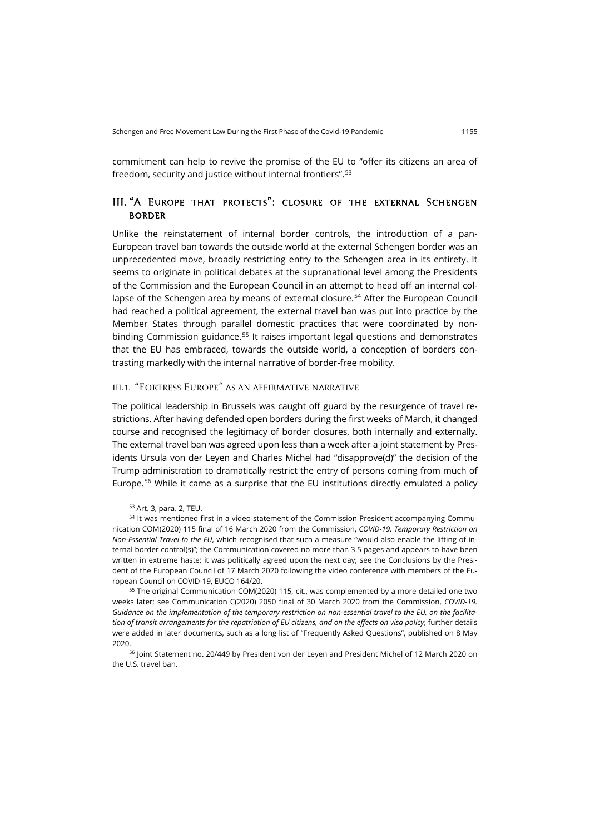commitment can help to revive the promise of the EU to "offer its citizens an area of freedom, security and justice without internal frontiers".[53](#page-12-0)

# III. "A Europe that protects": closure of the external Schengen **BORDER**

Unlike the reinstatement of internal border controls, the introduction of a pan-European travel ban towards the outside world at the external Schengen border was an unprecedented move, broadly restricting entry to the Schengen area in its entirety. It seems to originate in political debates at the supranational level among the Presidents of the Commission and the European Council in an attempt to head off an internal col-lapse of the Schengen area by means of external closure.<sup>[54](#page-12-1)</sup> After the European Council had reached a political agreement, the external travel ban was put into practice by the Member States through parallel domestic practices that were coordinated by non-binding Commission guidance.<sup>[55](#page-12-2)</sup> It raises important legal questions and demonstrates that the EU has embraced, towards the outside world, a conception of borders contrasting markedly with the internal narrative of border-free mobility.

# iii.1. "Fortress Europe" as an affirmative narrative

The political leadership in Brussels was caught off guard by the resurgence of travel restrictions. After having defended open borders during the first weeks of March, it changed course and recognised the legitimacy of border closures, both internally and externally. The external travel ban was agreed upon less than a week after a joint statement by Presidents Ursula von der Leyen and Charles Michel had "disapprove(d)" the decision of the Trump administration to dramatically restrict the entry of persons coming from much of Europe.[56](#page-12-3) While it came as a surprise that the EU institutions directly emulated a policy

<sup>53</sup> Art. 3, para. 2, TEU.

<span id="page-12-1"></span><span id="page-12-0"></span><sup>54</sup> It was mentioned first in a video statement of the Commission President accompanying Communication COM(2020) 115 final of 16 March 2020 from the Commission, *COVID-19. Temporary Restriction on Non-Essential Travel to the EU*, which recognised that such a measure "would also enable the lifting of internal border control(s)"; the Communication covered no more than 3.5 pages and appears to have been written in extreme haste; it was politically agreed upon the next day; see the Conclusions by the President of the European Council of 17 March 2020 following the video conference with members of the European Council on COVID-19, EUCO 164/20.

<span id="page-12-2"></span><sup>55</sup> The original Communication COM(2020) 115, cit., was complemented by a more detailed one two weeks later; see Communication C(2020) 2050 final of 30 March 2020 from the Commission, *COVID-19. Guidance on the implementation of the temporary restriction on non-essential travel to the EU, on the facilitation of transit arrangements for the repatriation of EU citizens, and on the effects on visa policy*; further details were added in later documents, such as a long list of "Frequently Asked Questions", published on 8 May 2020.

<span id="page-12-3"></span><sup>56</sup> Joint Statement no. 20/449 by President von der Leyen and President Michel of 12 March 2020 on the U.S. travel ban.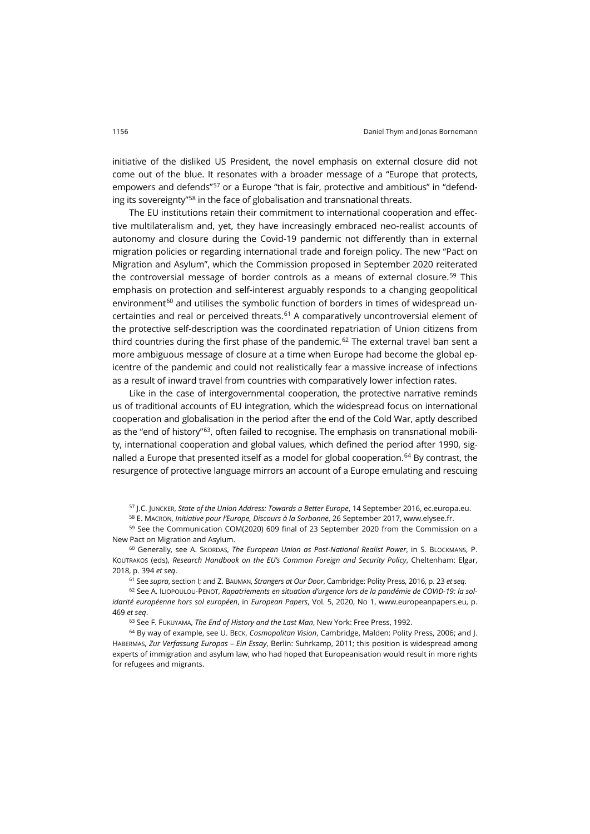initiative of the disliked US President, the novel emphasis on external closure did not come out of the blue. It resonates with a broader message of a "Europe that protects, empowers and defends"<sup>[57](#page-13-0)</sup> or a Europe "that is fair, protective and ambitious" in "defending its sovereignty"[58](#page-13-1) in the face of globalisation and transnational threats.

The EU institutions retain their commitment to international cooperation and effective multilateralism and, yet, they have increasingly embraced neo-realist accounts of autonomy and closure during the Covid-19 pandemic not differently than in external migration policies or regarding international trade and foreign policy. The new "Pact on Migration and Asylum", which the Commission proposed in September 2020 reiterated the controversial message of border controls as a means of external closure.<sup>[59](#page-13-2)</sup> This emphasis on protection and self-interest arguably responds to a changing geopolitical environment $60$  and utilises the symbolic function of borders in times of widespread un-certainties and real or perceived threats.<sup>[61](#page-13-4)</sup> A comparatively uncontroversial element of the protective self-description was the coordinated repatriation of Union citizens from third countries during the first phase of the pandemic.<sup>[62](#page-13-5)</sup> The external travel ban sent a more ambiguous message of closure at a time when Europe had become the global epicentre of the pandemic and could not realistically fear a massive increase of infections as a result of inward travel from countries with comparatively lower infection rates.

Like in the case of intergovernmental cooperation, the protective narrative reminds us of traditional accounts of EU integration, which the widespread focus on international cooperation and globalisation in the period after the end of the Cold War, aptly described as the "end of history"[63,](#page-13-6) often failed to recognise. The emphasis on transnational mobility, international cooperation and global values, which defined the period after 1990, sig-nalled a Europe that presented itself as a model for global cooperation.<sup>[64](#page-13-7)</sup> By contrast, the resurgence of protective language mirrors an account of a Europe emulating and rescuing

<sup>57</sup> J.C. JUNCKER, *State of the Union Address: Towards a Better Europe*, 14 September 2016[, ec.europa.eu.](https://ec.europa.eu/commission/presscorner/detail/en/SPEECH_16_3043)

<sup>58</sup> E. MACRON, *Initiative pour l'Europe, Discours à la Sorbonne*, 26 September 2017, [www.elysee.fr.](https://www.elysee.fr/emmanuel-macron/2017/09/26/president-macron-gives-speech-on-new-initiative-for-europe.en)

<span id="page-13-2"></span><span id="page-13-1"></span><span id="page-13-0"></span><sup>59</sup> See the Communication COM(2020) 609 final of 23 September 2020 from the Commission on a New Pact on Migration and Asylum.

<span id="page-13-3"></span><sup>60</sup> Generally, see A. SKORDAS, *The European Union as Post-National Realist Power*, in S. BLOCKMANS, P. KOUTRAKOS (eds), *Research Handbook on the EU's Common Foreign and Security Policy*, Cheltenham: Elgar, 2018, p. 394 *et seq*.

<sup>61</sup> See *supra*, section I; and Z. BAUMAN, *Strangers at Our Door*, Cambridge: Polity Press, 2016, p. 23 *et seq*.

<span id="page-13-5"></span><span id="page-13-4"></span><sup>62</sup> See A. ILIOPOULOU-PENOT, *Rapatriements en situation d'urgence lors de la pandémie de COVID-19: la solidarité européenne hors sol européen*, in *European Papers*, Vol. 5, 2020, No 1[, www.europeanpapers.eu,](https://www.europeanpapers.eu/en/europeanforum/rapatriements-en-situation-durgence-lors-de-pandemie-covid-19) p. 469 *et seq*.

<sup>63</sup> See F. FUKUYAMA, *The End of History and the Last Man*, New York: Free Press, 1992.

<span id="page-13-7"></span><span id="page-13-6"></span><sup>64</sup> By way of example, see U. BECK, *Cosmopolitan Vision*, Cambridge, Malden: Polity Press, 2006; and J. HABERMAS, *Zur Verfassung Europas – Ein Essay*, Berlin: Suhrkamp, 2011; this position is widespread among experts of immigration and asylum law, who had hoped that Europeanisation would result in more rights for refugees and migrants.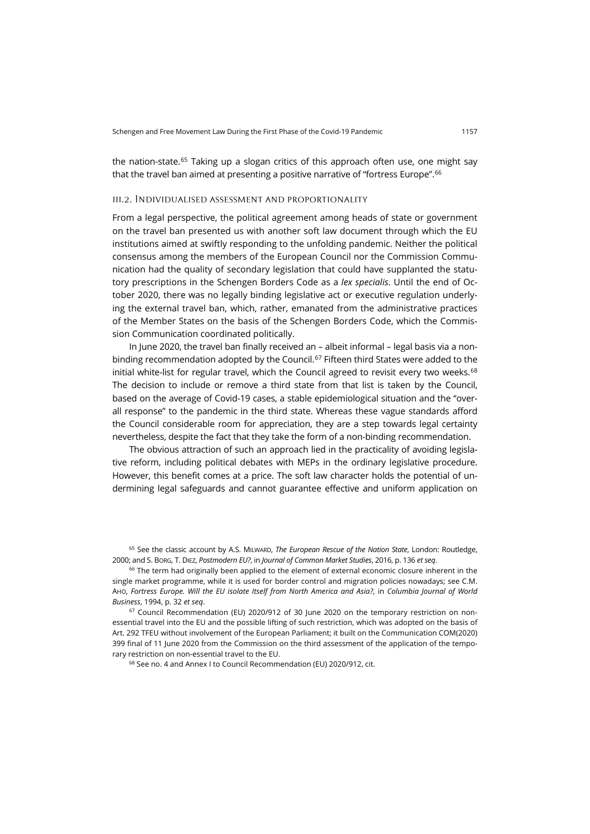the nation-state.[65](#page-14-0) Taking up a slogan critics of this approach often use, one might say that the travel ban aimed at presenting a positive narrative of "fortress Europe".[66](#page-14-1)

### iii.2. Individualised assessment and proportionality

From a legal perspective, the political agreement among heads of state or government on the travel ban presented us with another soft law document through which the EU institutions aimed at swiftly responding to the unfolding pandemic. Neither the political consensus among the members of the European Council nor the Commission Communication had the quality of secondary legislation that could have supplanted the statutory prescriptions in the Schengen Borders Code as a *lex specialis*. Until the end of October 2020, there was no legally binding legislative act or executive regulation underlying the external travel ban, which, rather, emanated from the administrative practices of the Member States on the basis of the Schengen Borders Code, which the Commission Communication coordinated politically.

In June 2020, the travel ban finally received an – albeit informal – legal basis via a non-binding recommendation adopted by the Council.<sup>[67](#page-14-2)</sup> Fifteen third States were added to the initial white-list for regular travel, which the Council agreed to revisit every two weeks. $68$ The decision to include or remove a third state from that list is taken by the Council, based on the average of Covid-19 cases, a stable epidemiological situation and the "overall response" to the pandemic in the third state. Whereas these vague standards afford the Council considerable room for appreciation, they are a step towards legal certainty nevertheless, despite the fact that they take the form of a non-binding recommendation.

The obvious attraction of such an approach lied in the practicality of avoiding legislative reform, including political debates with MEPs in the ordinary legislative procedure. However, this benefit comes at a price. The soft law character holds the potential of undermining legal safeguards and cannot guarantee effective and uniform application on

<span id="page-14-0"></span><sup>65</sup> See the classic account by A.S. MILWARD, *The European Rescue of the Nation State*, London: Routledge, 2000; and S. BORG, T. DIEZ, *Postmodern EU?*, in *Journal of Common Market Studies*, 2016, p. 136 *et seq*.

<span id="page-14-1"></span><sup>66</sup> The term had originally been applied to the element of external economic closure inherent in the single market programme, while it is used for border control and migration policies nowadays; see C.M. AHO, *Fortress Europe. Will the EU isolate Itself from North America and Asia?*, in *Columbia Journal of World Business*, 1994, p. 32 *et seq*.

<span id="page-14-3"></span><span id="page-14-2"></span> $67$  Council Recommendation (EU) 2020/912 of 30 June 2020 on the temporary restriction on nonessential travel into the EU and the possible lifting of such restriction, which was adopted on the basis of Art. 292 TFEU without involvement of the European Parliament; it built on the Communication COM(2020) 399 final of 11 June 2020 from the Commission on the third assessment of the application of the temporary restriction on non-essential travel to the EU.

<sup>68</sup> See no. 4 and Annex I to Council Recommendation (EU) 2020/912, cit.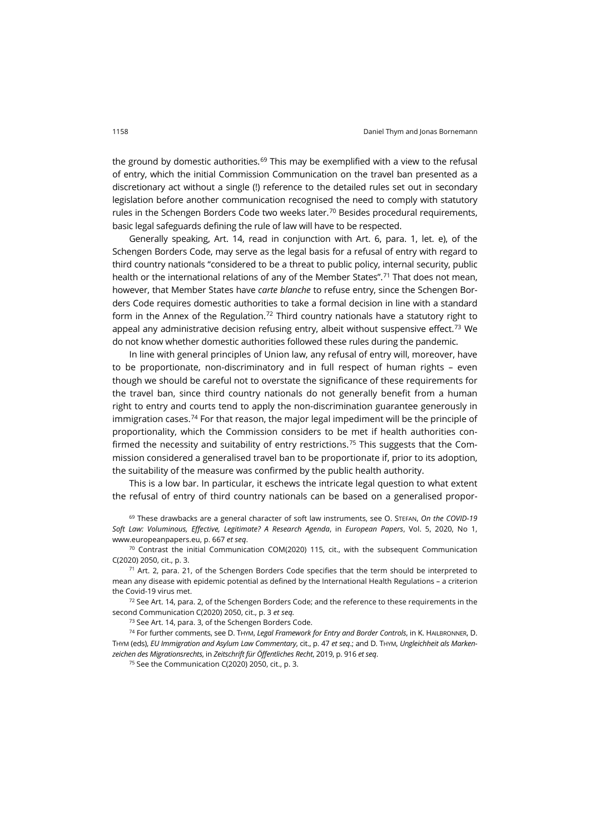the ground by domestic authorities.<sup>[69](#page-15-0)</sup> This may be exemplified with a view to the refusal of entry, which the initial Commission Communication on the travel ban presented as a discretionary act without a single (!) reference to the detailed rules set out in secondary legislation before another communication recognised the need to comply with statutory rules in the Schengen Borders Code two weeks later.<sup>[70](#page-15-1)</sup> Besides procedural requirements, basic legal safeguards defining the rule of law will have to be respected.

Generally speaking, Art. 14, read in conjunction with Art. 6, para. 1, let. e), of the Schengen Borders Code, may serve as the legal basis for a refusal of entry with regard to third country nationals "considered to be a threat to public policy, internal security, public health or the international relations of any of the Member States".<sup>[71](#page-15-2)</sup> That does not mean, however, that Member States have *carte blanche* to refuse entry, since the Schengen Borders Code requires domestic authorities to take a formal decision in line with a standard form in the Annex of the Regulation.<sup>[72](#page-15-3)</sup> Third country nationals have a statutory right to appeal any administrative decision refusing entry, albeit without suspensive effect.<sup>[73](#page-15-4)</sup> We do not know whether domestic authorities followed these rules during the pandemic.

In line with general principles of Union law, any refusal of entry will, moreover, have to be proportionate, non-discriminatory and in full respect of human rights – even though we should be careful not to overstate the significance of these requirements for the travel ban, since third country nationals do not generally benefit from a human right to entry and courts tend to apply the non-discrimination guarantee generously in immigration cases.<sup>[74](#page-15-5)</sup> For that reason, the major legal impediment will be the principle of proportionality, which the Commission considers to be met if health authorities con-firmed the necessity and suitability of entry restrictions.<sup>[75](#page-15-6)</sup> This suggests that the Commission considered a generalised travel ban to be proportionate if, prior to its adoption, the suitability of the measure was confirmed by the public health authority.

This is a low bar. In particular, it eschews the intricate legal question to what extent the refusal of entry of third country nationals can be based on a generalised propor-

<span id="page-15-0"></span><sup>69</sup> These drawbacks are a general character of soft law instruments, see O. STEFAN, *On the COVID-19 Soft Law: Voluminous, Effective, Legitimate? A Research Agenda*, in *European Papers*, Vol. 5, 2020, No 1, [www.europeanpapers.eu,](http://www.europeanpapers.eu/en/europeanforum/covid-19-soft-law-voluminous-effective-legitimate) p. 667 *et seq*.

<span id="page-15-1"></span> $70$  Contrast the initial Communication COM(2020) 115, cit., with the subsequent Communication C(2020) 2050, cit., p. 3.

<span id="page-15-2"></span> $71$  Art. 2, para. 21, of the Schengen Borders Code specifies that the term should be interpreted to mean any disease with epidemic potential as defined by the International Health Regulations – a criterion the Covid-19 virus met.

<span id="page-15-3"></span> $72$  See Art. 14, para. 2, of the Schengen Borders Code; and the reference to these requirements in the second Communication C(2020) 2050, cit., p. 3 *et seq.*

<sup>73</sup> See Art. 14, para. 3, of the Schengen Borders Code.

<span id="page-15-6"></span><span id="page-15-5"></span><span id="page-15-4"></span><sup>74</sup> For further comments, see D. THYM, *Legal Framework for Entry and Border Controls*, in K. HAILBRONNER, D. THYM (eds), *EU Immigration and Asylum Law Commentary*, cit., p. 47 *et seq*.; and D. THYM, *Ungleichheit als Markenzeichen des Migrationsrechts*, in *Zeitschrift für Öffentliches Recht*, 2019, p. 916 *et seq*.

<sup>75</sup> See the Communication C(2020) 2050, cit., p. 3.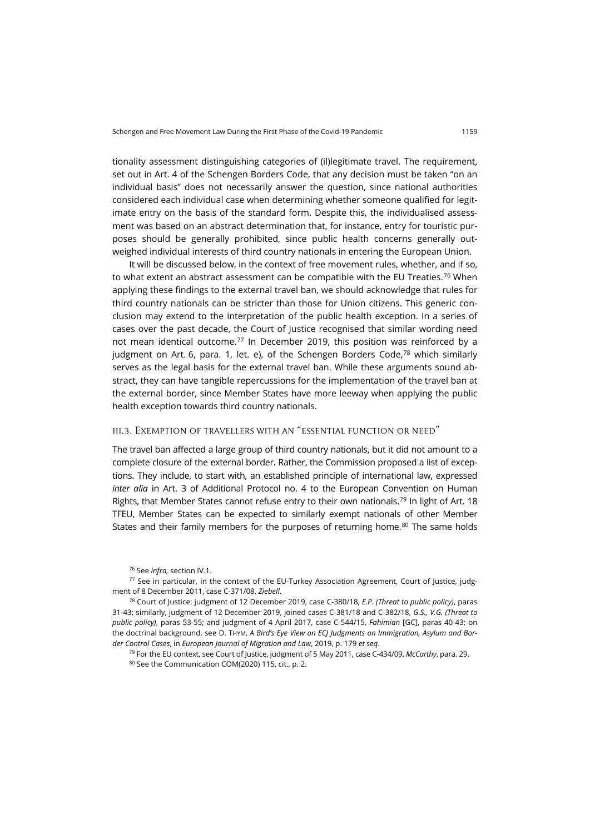tionality assessment distinguishing categories of (il)legitimate travel. The requirement, set out in Art. 4 of the Schengen Borders Code, that any decision must be taken "on an individual basis" does not necessarily answer the question, since national authorities considered each individual case when determining whether someone qualified for legitimate entry on the basis of the standard form. Despite this, the individualised assessment was based on an abstract determination that, for instance, entry for touristic purposes should be generally prohibited, since public health concerns generally outweighed individual interests of third country nationals in entering the European Union.

It will be discussed below, in the context of free movement rules, whether, and if so, to what extent an abstract assessment can be compatible with the EU Treaties.<sup>[76](#page-16-0)</sup> When applying these findings to the external travel ban, we should acknowledge that rules for third country nationals can be stricter than those for Union citizens. This generic conclusion may extend to the interpretation of the public health exception. In a series of cases over the past decade, the Court of Justice recognised that similar wording need not mean identical outcome.[77](#page-16-1) In December 2019, this position was reinforced by a judgment on Art. 6, para. 1, let. e), of the Schengen Borders Code, $^{78}$  $^{78}$  $^{78}$  which similarly serves as the legal basis for the external travel ban. While these arguments sound abstract, they can have tangible repercussions for the implementation of the travel ban at the external border, since Member States have more leeway when applying the public health exception towards third country nationals.

## iii.3. Exemption of travellers with an "essential function or need"

The travel ban affected a large group of third country nationals, but it did not amount to a complete closure of the external border. Rather, the Commission proposed a list of exceptions. They include, to start with, an established principle of international law, expressed *inter alia* in Art. 3 of Additional Protocol no. 4 to the European Convention on Human Rights, that Member States cannot refuse entry to their own nationals.<sup>[79](#page-16-3)</sup> In light of Art. 18 TFEU, Member States can be expected to similarly exempt nationals of other Member States and their family members for the purposes of returning home. $80$  The same holds

<span id="page-16-4"></span><span id="page-16-3"></span><span id="page-16-2"></span><sup>78</sup> Court of Justice: judgment of 12 December 2019, case C-380/18, *E.P. (Threat to public policy)*, paras 31-43; similarly, judgment of 12 December 2019, joined cases C-381/18 and C-382/18, *G.S., V.G. (Threat to public policy)*, paras 53-55; and judgment of 4 April 2017, case C-544/15, *Fahimian* [GC], paras 40-43; on the doctrinal background, see D. THYM, *A Bird's Eye View on ECJ Judgments on Immigration, Asylum and Border Control Cases*, in *European Journal of Migration and Law*, 2019, p. 179 *et seq*.

<sup>79</sup> For the EU context, see Court of Justice, judgment of 5 May 2011, case C-434/09, *McCarthy*, para. 29. 80 See the Communication COM(2020) 115, cit., p. 2.

<sup>76</sup> See *infra,* section IV.1.

<span id="page-16-1"></span><span id="page-16-0"></span><sup>77</sup> See in particular, in the context of the EU-Turkey Association Agreement, Court of Justice, judgment of 8 December 2011, case C-371/08, *Ziebell*.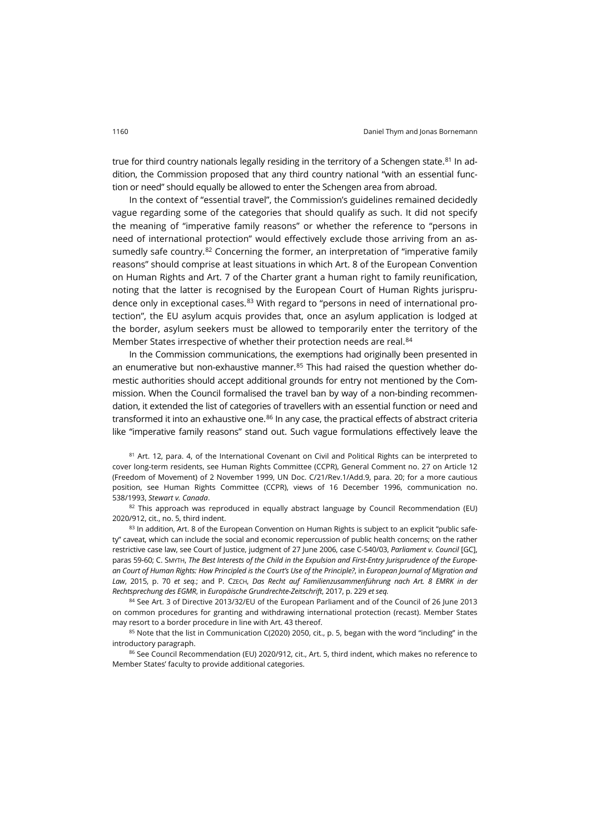true for third country nationals legally residing in the territory of a Schengen state.<sup>[81](#page-17-0)</sup> In addition, the Commission proposed that any third country national "with an essential function or need" should equally be allowed to enter the Schengen area from abroad.

In the context of "essential travel", the Commission's guidelines remained decidedly vague regarding some of the categories that should qualify as such. It did not specify the meaning of "imperative family reasons" or whether the reference to "persons in need of international protection" would effectively exclude those arriving from an as-sumedly safe country.<sup>[82](#page-17-1)</sup> Concerning the former, an interpretation of "imperative family reasons" should comprise at least situations in which Art. 8 of the European Convention on Human Rights and Art. 7 of the Charter grant a human right to family reunification, noting that the latter is recognised by the European Court of Human Rights jurispru-dence only in exceptional cases.<sup>[83](#page-17-2)</sup> With regard to "persons in need of international protection", the EU asylum acquis provides that, once an asylum application is lodged at the border, asylum seekers must be allowed to temporarily enter the territory of the Member States irrespective of whether their protection needs are real.<sup>[84](#page-17-3)</sup>

In the Commission communications, the exemptions had originally been presented in an enumerative but non-exhaustive manner. $85$  This had raised the question whether domestic authorities should accept additional grounds for entry not mentioned by the Commission. When the Council formalised the travel ban by way of a non-binding recommendation, it extended the list of categories of travellers with an essential function or need and transformed it into an exhaustive one.<sup>[86](#page-17-5)</sup> In any case, the practical effects of abstract criteria like "imperative family reasons" stand out. Such vague formulations effectively leave the

<span id="page-17-0"></span>81 Art. 12, para. 4, of the International Covenant on Civil and Political Rights can be interpreted to cover long-term residents, see Human Rights Committee (CCPR), General Comment no. 27 on Article 12 (Freedom of Movement) of 2 November 1999, UN Doc. C/21/Rev.1/Add.9, para. 20; for a more cautious position, see Human Rights Committee (CCPR), views of 16 December 1996, communication no. 538/1993, *Stewart v. Canada*.

<span id="page-17-1"></span> $82$  This approach was reproduced in equally abstract language by Council Recommendation (EU) 2020/912, cit., no. 5, third indent.

<span id="page-17-2"></span>83 In addition, Art. 8 of the European Convention on Human Rights is subject to an explicit "public safety" caveat, which can include the social and economic repercussion of public health concerns; on the rather restrictive case law, see Court of Justice, judgment of 27 June 2006, case C-540/03, *Parliament v. Council* [GC], paras 59-60; C. SMYTH, *The Best Interests of the Child in the Expulsion and First-Entry Jurisprudence of the European Court of Human Rights: How Principled is the Court's Use of the Principle?*, in *European Journal of Migration and Law*, 2015, p. 70 *et seq.*; and P. CZECH, *Das Recht auf Familienzusammenführung nach Art. 8 EMRK in der Rechtsprechung des EGMR*, in *Europäische Grundrechte-Zeitschrift*, 2017, p. 229 *et seq.*

<span id="page-17-3"></span>84 See Art. 3 of Directive 2013/32/EU of the European Parliament and of the Council of 26 June 2013 on common procedures for granting and withdrawing international protection (recast). Member States may resort to a border procedure in line with Art. 43 thereof.

<span id="page-17-4"></span>85 Note that the list in Communication C(2020) 2050, cit., p. 5, began with the word "including" in the introductory paragraph.

<span id="page-17-5"></span>86 See Council Recommendation (EU) 2020/912, cit., Art. 5, third indent, which makes no reference to Member States' faculty to provide additional categories.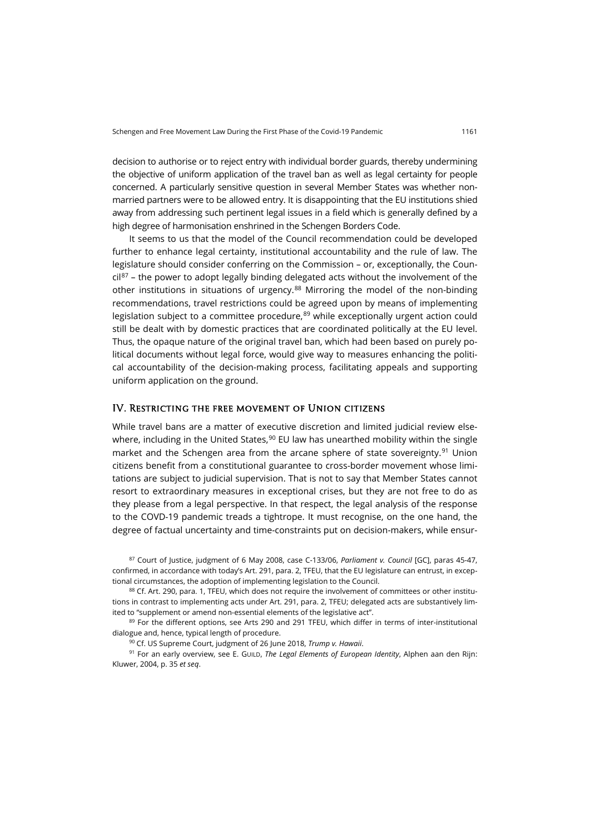decision to authorise or to reject entry with individual border guards, thereby undermining the objective of uniform application of the travel ban as well as legal certainty for people concerned. A particularly sensitive question in several Member States was whether nonmarried partners were to be allowed entry. It is disappointing that the EU institutions shied away from addressing such pertinent legal issues in a field which is generally defined by a high degree of harmonisation enshrined in the Schengen Borders Code.

It seems to us that the model of the Council recommendation could be developed further to enhance legal certainty, institutional accountability and the rule of law. The legislature should consider conferring on the Commission – or, exceptionally, the Coun- $\frac{\text{clip}^{87}}{\text{light}}$  $\frac{\text{clip}^{87}}{\text{light}}$  $\frac{\text{clip}^{87}}{\text{light}}$  – the power to adopt legally binding delegated acts without the involvement of the other institutions in situations of urgency.<sup>[88](#page-18-1)</sup> Mirroring the model of the non-binding recommendations, travel restrictions could be agreed upon by means of implementing legislation subject to a committee procedure, $89$  while exceptionally urgent action could still be dealt with by domestic practices that are coordinated politically at the EU level. Thus, the opaque nature of the original travel ban, which had been based on purely political documents without legal force, would give way to measures enhancing the political accountability of the decision-making process, facilitating appeals and supporting uniform application on the ground.

### IV. Restricting the free movement of Union citizens

While travel bans are a matter of executive discretion and limited judicial review elsewhere, including in the United States, $90$  EU law has unearthed mobility within the single market and the Schengen area from the arcane sphere of state sovereignty.<sup>[91](#page-18-4)</sup> Union citizens benefit from a constitutional guarantee to cross-border movement whose limitations are subject to judicial supervision. That is not to say that Member States cannot resort to extraordinary measures in exceptional crises, but they are not free to do as they please from a legal perspective. In that respect, the legal analysis of the response to the COVD-19 pandemic treads a tightrope. It must recognise, on the one hand, the degree of factual uncertainty and time-constraints put on decision-makers, while ensur-

<span id="page-18-0"></span><sup>87</sup> Court of Justice, judgment of 6 May 2008, case C-133/06, *Parliament v. Council* [GC], paras 45-47, confirmed, in accordance with today's Art. 291, para. 2, TFEU, that the EU legislature can entrust, in exceptional circumstances, the adoption of implementing legislation to the Council.

<span id="page-18-1"></span>88 Cf. Art. 290, para. 1, TFEU, which does not require the involvement of committees or other institutions in contrast to implementing acts under Art. 291, para. 2, TFEU; delegated acts are substantively limited to "supplement or amend non-essential elements of the legislative act".

<span id="page-18-2"></span>89 For the different options, see Arts 290 and 291 TFEU, which differ in terms of inter-institutional dialogue and, hence, typical length of procedure.

<sup>90</sup> Cf. US Supreme Court, judgment of 26 June 2018, *Trump v. Hawaii*.

<span id="page-18-4"></span><span id="page-18-3"></span><sup>91</sup> For an early overview, see E. GUILD, *The Legal Elements of European Identity*, Alphen aan den Rijn: Kluwer, 2004, p. 35 *et seq*.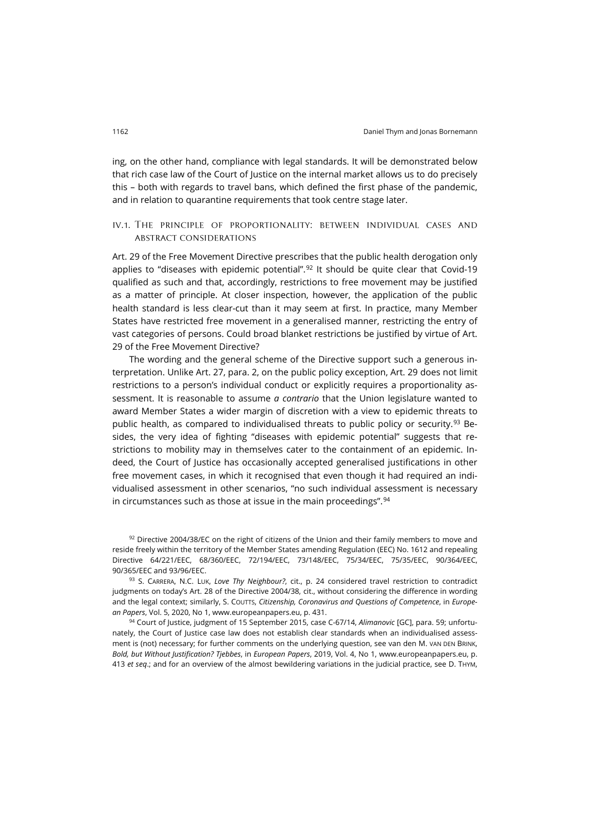ing, on the other hand, compliance with legal standards. It will be demonstrated below that rich case law of the Court of Justice on the internal market allows us to do precisely this – both with regards to travel bans, which defined the first phase of the pandemic, and in relation to quarantine requirements that took centre stage later.

## iv.1. The principle of proportionality: between individual cases and abstract considerations

Art. 29 of the Free Movement Directive prescribes that the public health derogation only applies to "diseases with epidemic potential".<sup>[92](#page-19-0)</sup> It should be quite clear that Covid-19 qualified as such and that, accordingly, restrictions to free movement may be justified as a matter of principle. At closer inspection, however, the application of the public health standard is less clear-cut than it may seem at first. In practice, many Member States have restricted free movement in a generalised manner, restricting the entry of vast categories of persons. Could broad blanket restrictions be justified by virtue of Art. 29 of the Free Movement Directive?

The wording and the general scheme of the Directive support such a generous interpretation. Unlike Art. 27, para. 2, on the public policy exception, Art. 29 does not limit restrictions to a person's individual conduct or explicitly requires a proportionality assessment. It is reasonable to assume *a contrario* that the Union legislature wanted to award Member States a wider margin of discretion with a view to epidemic threats to public health, as compared to individualised threats to public policy or security.<sup>[93](#page-19-1)</sup> Besides, the very idea of fighting "diseases with epidemic potential" suggests that restrictions to mobility may in themselves cater to the containment of an epidemic. Indeed, the Court of Justice has occasionally accepted generalised justifications in other free movement cases, in which it recognised that even though it had required an individualised assessment in other scenarios, "no such individual assessment is necessary in circumstances such as those at issue in the main proceedings".<sup>[94](#page-19-2)</sup>

<span id="page-19-0"></span>92 Directive 2004/38/EC on the right of citizens of the Union and their family members to move and reside freely within the territory of the Member States amending Regulation (EEC) No. 1612 and repealing Directive 64/221/EEC, 68/360/EEC, 72/194/EEC, 73/148/EEC, 75/34/EEC, 75/35/EEC, 90/364/EEC, 90/365/EEC and 93/96/EEC.

<span id="page-19-1"></span><sup>93</sup> S. CARRERA, N.C. LUK, *Love Thy Neighbour?*, cit., p. 24 considered travel restriction to contradict judgments on today's Art. 28 of the Directive 2004/38, cit., without considering the difference in wording and the legal context; similarly, S. COUTTS, *Citizenship, Coronavirus and Questions of Competence*, in *European Papers*, Vol. 5, 2020, No 1, [www.europeanpapers.eu,](http://www.europeanpapers.eu/it/europeanforum/citizenship-coronavirus-and-questions-competence-covid-19) p. 431.

<span id="page-19-2"></span><sup>94</sup> Court of Justice, judgment of 15 September 2015, case C-67/14, *Alimanovic* [GC], para. 59; unfortunately, the Court of Justice case law does not establish clear standards when an individualised assessment is (not) necessary; for further comments on the underlying question, see van den M. VAN DEN BRINK, *Bold, but Without Justification? Tjebbes*, in *European Papers*, 2019, Vol. 4, No 1, [www.europeanpapers.eu,](http://www.europeanpapers.eu/en/europeanforum/bold-without-justification-tjebbes) p. 413 *et seq*.; and for an overview of the almost bewildering variations in the judicial practice, see D. THYM,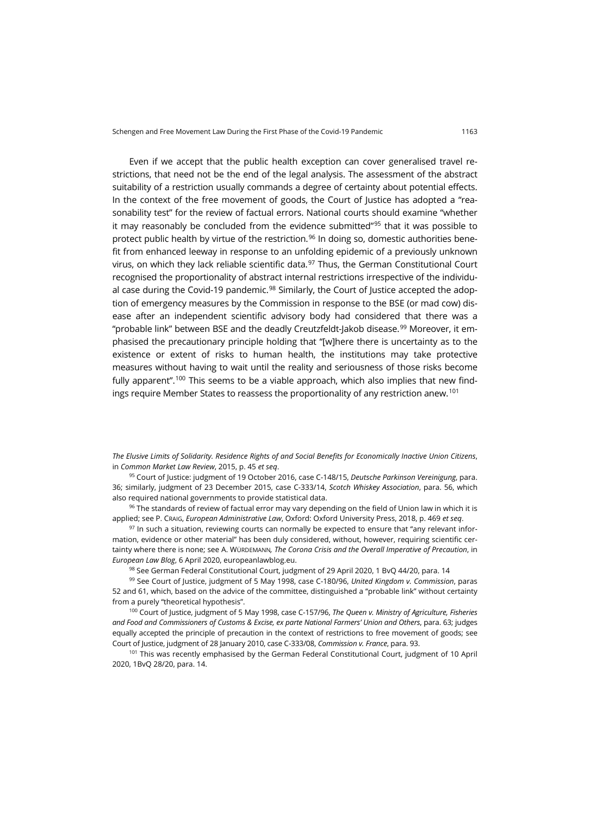Even if we accept that the public health exception can cover generalised travel restrictions, that need not be the end of the legal analysis. The assessment of the abstract suitability of a restriction usually commands a degree of certainty about potential effects. In the context of the free movement of goods, the Court of Justice has adopted a "reasonability test" for the review of factual errors. National courts should examine "whether it may reasonably be concluded from the evidence submitted"[95](#page-20-0) that it was possible to protect public health by virtue of the restriction.<sup>[96](#page-20-1)</sup> In doing so, domestic authorities benefit from enhanced leeway in response to an unfolding epidemic of a previously unknown virus, on which they lack reliable scientific data.<sup>[97](#page-20-2)</sup> Thus, the German Constitutional Court recognised the proportionality of abstract internal restrictions irrespective of the individu-al case during the Covid-19 pandemic.<sup>[98](#page-20-3)</sup> Similarly, the Court of Justice accepted the adoption of emergency measures by the Commission in response to the BSE (or mad cow) disease after an independent scientific advisory body had considered that there was a "probable link" between BSE and the deadly Creutzfeldt-Jakob disease.<sup>[99](#page-20-4)</sup> Moreover, it emphasised the precautionary principle holding that "[w]here there is uncertainty as to the existence or extent of risks to human health, the institutions may take protective measures without having to wait until the reality and seriousness of those risks become fully apparent".<sup>100</sup> This seems to be a viable approach, which also implies that new findings require Member States to reassess the proportionality of any restriction anew[.101](#page-20-6)

*The Elusive Limits of Solidarity. Residence Rights of and Social Benefits for Economically Inactive Union Citizens*, in *Common Market Law Review*, 2015, p. 45 *et seq*.

<span id="page-20-0"></span><sup>95</sup> Court of Justice: judgment of 19 October 2016, case C-148/15, *Deutsche Parkinson Vereinigung*, para. 36; similarly, judgment of 23 December 2015, case C-333/14, *Scotch Whiskey Association*, para. 56, which also required national governments to provide statistical data.

<span id="page-20-1"></span>96 The standards of review of factual error may vary depending on the field of Union law in which it is applied; see P. CRAIG, *European Administrative Law*, Oxford: Oxford University Press, 2018, p. 469 *et seq*.

<span id="page-20-2"></span> $97$  In such a situation, reviewing courts can normally be expected to ensure that "any relevant information, evidence or other material" has been duly considered, without, however, requiring scientific certainty where there is none; see A. WÜRDEMANN*, The Corona Crisis and the Overall Imperative of Precaution*, in *European Law Blog*, 6 April 2020[, europeanlawblog.eu.](https://europeanlawblog.eu/2020/04/06/the-corona-crisis-and-the-overall-imperative-of-precaution/)

98 See German Federal Constitutional Court, judgment of 29 April 2020, 1 BvQ 44/20, para. 14

<span id="page-20-4"></span><span id="page-20-3"></span><sup>99</sup> See Court of Justice, judgment of 5 May 1998, case C-180/96, *United Kingdom v. Commission*, paras 52 and 61, which, based on the advice of the committee, distinguished a "probable link" without certainty from a purely "theoretical hypothesis".

<span id="page-20-5"></span><sup>100</sup> Court of Justice, judgment of 5 May 1998, case C-157/96, *The Queen v. Ministry of Agriculture, Fisheries and Food and Commissioners of Customs & Excise, ex parte National Farmers' Union and Others*, para. 63; judges equally accepted the principle of precaution in the context of restrictions to free movement of goods; see Court of Justice, judgment of 28 January 2010, case C-333/08, *Commission v. France*, para. 93.

<span id="page-20-6"></span><sup>101</sup> This was recently emphasised by the German Federal Constitutional Court, judgment of 10 April 2020, 1BvQ 28/20, para. 14.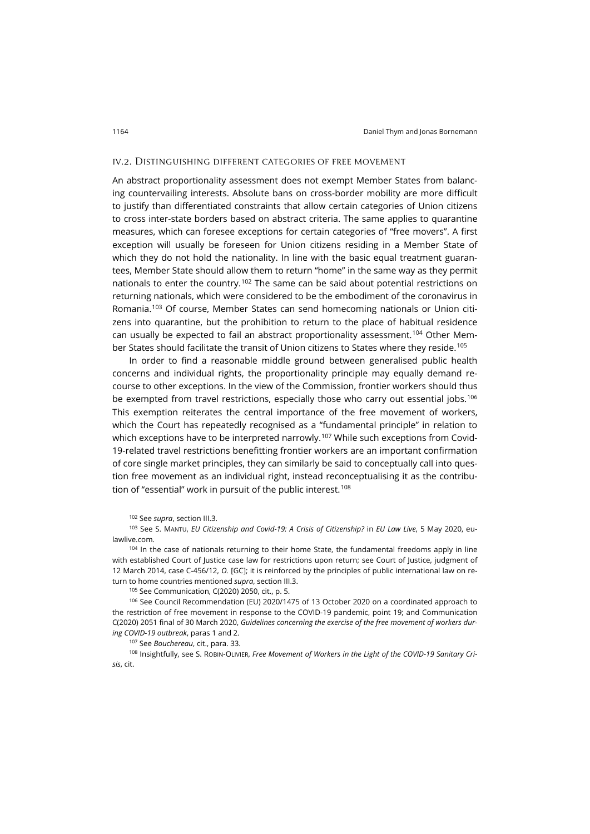### iv.2. Distinguishing different categories of free movement

An abstract proportionality assessment does not exempt Member States from balancing countervailing interests. Absolute bans on cross-border mobility are more difficult to justify than differentiated constraints that allow certain categories of Union citizens to cross inter-state borders based on abstract criteria. The same applies to quarantine measures, which can foresee exceptions for certain categories of "free movers". A first exception will usually be foreseen for Union citizens residing in a Member State of which they do not hold the nationality. In line with the basic equal treatment guarantees, Member State should allow them to return "home" in the same way as they permit nationals to enter the country.<sup>[102](#page-21-0)</sup> The same can be said about potential restrictions on returning nationals, which were considered to be the embodiment of the coronavirus in Romania.[103](#page-21-1) Of course, Member States can send homecoming nationals or Union citizens into quarantine, but the prohibition to return to the place of habitual residence can usually be expected to fail an abstract proportionality assessment.<sup>[104](#page-21-2)</sup> Other Member States should facilitate the transit of Union citizens to States where they reside.[105](#page-21-3)

In order to find a reasonable middle ground between generalised public health concerns and individual rights, the proportionality principle may equally demand recourse to other exceptions. In the view of the Commission, frontier workers should thus be exempted from travel restrictions, especially those who carry out essential jobs.<sup>[106](#page-21-4)</sup> This exemption reiterates the central importance of the free movement of workers, which the Court has repeatedly recognised as a "fundamental principle" in relation to which exceptions have to be interpreted narrowly.<sup>[107](#page-21-5)</sup> While such exceptions from Covid-19-related travel restrictions benefitting frontier workers are an important confirmation of core single market principles, they can similarly be said to conceptually call into question free movement as an individual right, instead reconceptualising it as the contribu-tion of "essential" work in pursuit of the public interest.<sup>[108](#page-21-6)</sup>

<sup>102</sup> See *supra*, section III.3.

<span id="page-21-1"></span><span id="page-21-0"></span><sup>103</sup> See S. MANTU, *EU Citizenship and Covid-19: A Crisis of Citizenship?* in *EU Law Live*, 5 May 2020, [eu](https://eulawlive.com/op-ed-eu-citizenship-and-covid-19-a-crisis-of-citizenship-by-sandra-mantu/?fbclid=IwAR064T4_nPqapfbzOykL8yw6yKjnP1DquvCY3adgIEvEu-Z71VgS_kw192c)[lawlive.com.](https://eulawlive.com/op-ed-eu-citizenship-and-covid-19-a-crisis-of-citizenship-by-sandra-mantu/?fbclid=IwAR064T4_nPqapfbzOykL8yw6yKjnP1DquvCY3adgIEvEu-Z71VgS_kw192c)

<span id="page-21-2"></span><sup>104</sup> In the case of nationals returning to their home State, the fundamental freedoms apply in line with established Court of Justice case law for restrictions upon return; see Court of Justice, judgment of 12 March 2014, case C-456/12, *O.* [GC]; it is reinforced by the principles of public international law on return to home countries mentioned *supra*, section III.3.

<sup>105</sup> See Communication, C(2020) 2050, cit., p. 5.

<span id="page-21-4"></span><span id="page-21-3"></span><sup>106</sup> See Council Recommendation (EU) 2020/1475 of 13 October 2020 on a coordinated approach to the restriction of free movement in response to the COVID-19 pandemic, point 19; and Communication C(2020) 2051 final of 30 March 2020, *Guidelines concerning the exercise of the free movement of workers during COVID-19 outbreak*, paras 1 and 2.

<sup>107</sup> See *Bouchereau*, cit., para. 33.

<span id="page-21-6"></span><span id="page-21-5"></span><sup>108</sup> Insightfully, see S. ROBIN-OLIVIER, *Free Movement of Workers in the Light of the COVID-19 Sanitary Crisis*, cit.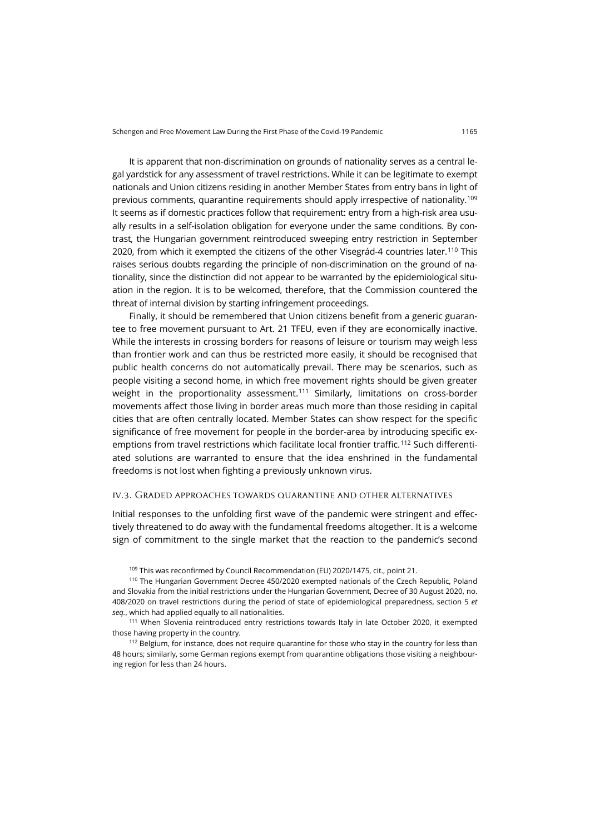It is apparent that non-discrimination on grounds of nationality serves as a central legal yardstick for any assessment of travel restrictions. While it can be legitimate to exempt nationals and Union citizens residing in another Member States from entry bans in light of previous comments, quarantine requirements should apply irrespective of nationality.[109](#page-22-0) It seems as if domestic practices follow that requirement: entry from a high-risk area usually results in a self-isolation obligation for everyone under the same conditions. By contrast, the Hungarian government reintroduced sweeping entry restriction in September 2020, from which it exempted the citizens of the other Visegrád-4 countries later.[110](#page-22-1) This raises serious doubts regarding the principle of non-discrimination on the ground of nationality, since the distinction did not appear to be warranted by the epidemiological situation in the region. It is to be welcomed, therefore, that the Commission countered the threat of internal division by starting infringement proceedings.

Finally, it should be remembered that Union citizens benefit from a generic guarantee to free movement pursuant to Art. 21 TFEU, even if they are economically inactive. While the interests in crossing borders for reasons of leisure or tourism may weigh less than frontier work and can thus be restricted more easily, it should be recognised that public health concerns do not automatically prevail. There may be scenarios, such as people visiting a second home, in which free movement rights should be given greater weight in the proportionality assessment.<sup>[111](#page-22-2)</sup> Similarly, limitations on cross-border movements affect those living in border areas much more than those residing in capital cities that are often centrally located. Member States can show respect for the specific significance of free movement for people in the border-area by introducing specific exemptions from travel restrictions which facilitate local frontier traffic.[112](#page-22-3) Such differentiated solutions are warranted to ensure that the idea enshrined in the fundamental freedoms is not lost when fighting a previously unknown virus.

### iv.3. Graded approaches towards quarantine and other alternatives

Initial responses to the unfolding first wave of the pandemic were stringent and effectively threatened to do away with the fundamental freedoms altogether. It is a welcome sign of commitment to the single market that the reaction to the pandemic's second

<sup>109</sup> This was reconfirmed by Council Recommendation (EU) 2020/1475, cit., point 21.

<span id="page-22-1"></span><span id="page-22-0"></span><sup>110</sup> The Hungarian Government Decree 450/2020 exempted nationals of the Czech Republic, Poland and Slovakia from the initial restrictions under the Hungarian Government, Decree of 30 August 2020, no. 408/2020 on travel restrictions during the period of state of epidemiological preparedness, section 5 *et seq.*, which had applied equally to all nationalities.

<span id="page-22-2"></span><sup>111</sup> When Slovenia reintroduced entry restrictions towards Italy in late October 2020, it exempted those having property in the country.

<span id="page-22-3"></span><sup>112</sup> Belgium, for instance, does not require quarantine for those who stay in the country for less than 48 hours; similarly, some German regions exempt from quarantine obligations those visiting a neighbouring region for less than 24 hours.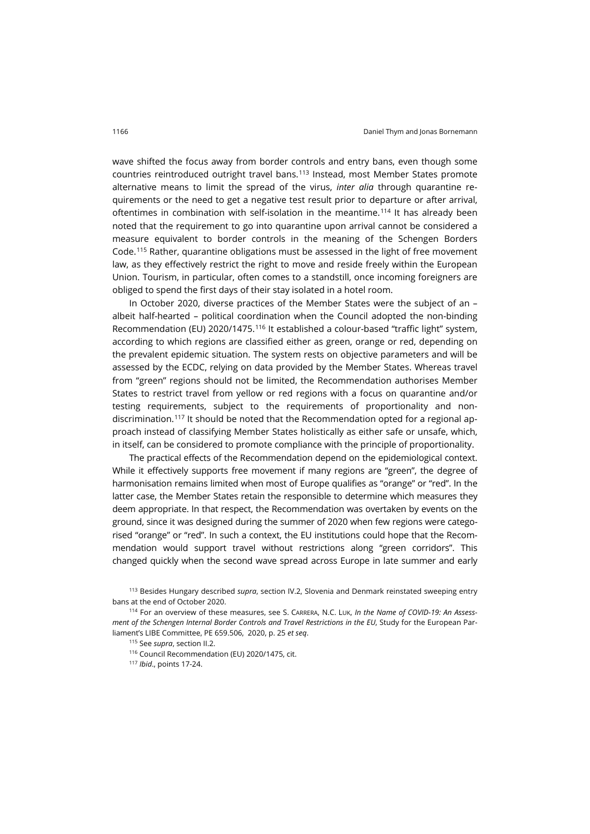wave shifted the focus away from border controls and entry bans, even though some countries reintroduced outright travel bans.[113](#page-23-0) Instead, most Member States promote alternative means to limit the spread of the virus, *inter alia* through quarantine requirements or the need to get a negative test result prior to departure or after arrival, oftentimes in combination with self-isolation in the meantime.[114](#page-23-1) It has already been noted that the requirement to go into quarantine upon arrival cannot be considered a measure equivalent to border controls in the meaning of the Schengen Borders Code.[115](#page-23-2) Rather, quarantine obligations must be assessed in the light of free movement law, as they effectively restrict the right to move and reside freely within the European Union. Tourism, in particular, often comes to a standstill, once incoming foreigners are obliged to spend the first days of their stay isolated in a hotel room.

In October 2020, diverse practices of the Member States were the subject of an – albeit half-hearted – political coordination when the Council adopted the non-binding Recommendation (EU) 2020/1475.[116](#page-23-3) It established a colour-based "traffic light" system, according to which regions are classified either as green, orange or red, depending on the prevalent epidemic situation. The system rests on objective parameters and will be assessed by the ECDC, relying on data provided by the Member States. Whereas travel from "green" regions should not be limited, the Recommendation authorises Member States to restrict travel from yellow or red regions with a focus on quarantine and/or testing requirements, subject to the requirements of proportionality and nondiscrimination.[117](#page-23-4) It should be noted that the Recommendation opted for a regional approach instead of classifying Member States holistically as either safe or unsafe, which, in itself, can be considered to promote compliance with the principle of proportionality.

The practical effects of the Recommendation depend on the epidemiological context. While it effectively supports free movement if many regions are "green", the degree of harmonisation remains limited when most of Europe qualifies as "orange" or "red". In the latter case, the Member States retain the responsible to determine which measures they deem appropriate. In that respect, the Recommendation was overtaken by events on the ground, since it was designed during the summer of 2020 when few regions were categorised "orange" or "red". In such a context, the EU institutions could hope that the Recommendation would support travel without restrictions along "green corridors". This changed quickly when the second wave spread across Europe in late summer and early

<span id="page-23-0"></span><sup>113</sup> Besides Hungary described *supra*, section IV.2, Slovenia and Denmark reinstated sweeping entry bans at the end of October 2020.

<span id="page-23-4"></span><span id="page-23-3"></span><span id="page-23-2"></span><span id="page-23-1"></span><sup>114</sup> For an overview of these measures, see S. CARRERA, N.C. LUK, *In the Name of COVID-19: An Assessment of the Schengen Internal Border Controls and Travel Restrictions in the EU*, Study for the European Parliament's LIBE Committee, PE 659.506, 2020, p. 25 *et seq*.

<sup>115</sup> See *supra*, section II.2.

<sup>116</sup> Council Recommendation (EU) 2020/1475, cit.

<sup>117</sup> *Ibid*., points 17-24.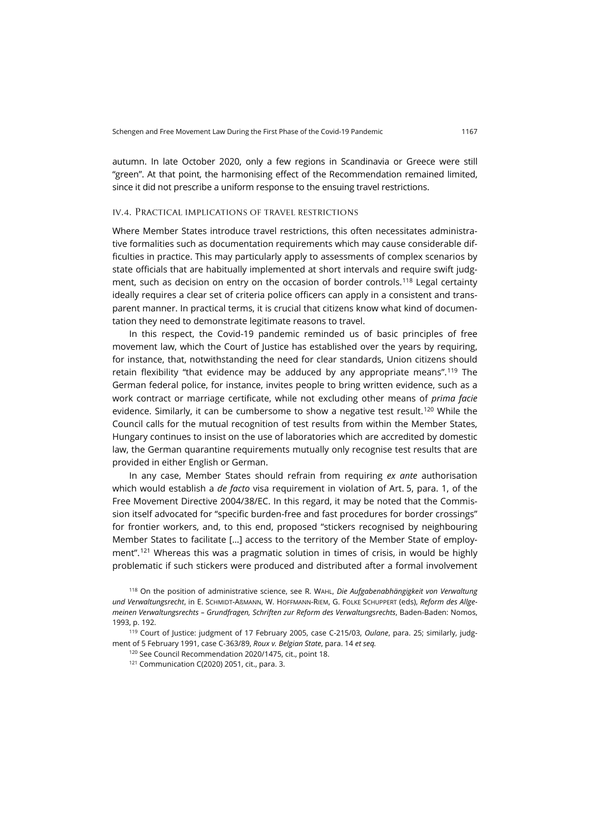autumn. In late October 2020, only a few regions in Scandinavia or Greece were still "green". At that point, the harmonising effect of the Recommendation remained limited, since it did not prescribe a uniform response to the ensuing travel restrictions.

### iv.4. Practical implications of travel restrictions

Where Member States introduce travel restrictions, this often necessitates administrative formalities such as documentation requirements which may cause considerable difficulties in practice. This may particularly apply to assessments of complex scenarios by state officials that are habitually implemented at short intervals and require swift judg-ment, such as decision on entry on the occasion of border controls.<sup>[118](#page-24-0)</sup> Legal certainty ideally requires a clear set of criteria police officers can apply in a consistent and transparent manner. In practical terms, it is crucial that citizens know what kind of documentation they need to demonstrate legitimate reasons to travel.

In this respect, the Covid-19 pandemic reminded us of basic principles of free movement law, which the Court of Justice has established over the years by requiring, for instance, that, notwithstanding the need for clear standards, Union citizens should retain flexibility "that evidence may be adduced by any appropriate means".[119](#page-24-1) The German federal police, for instance, invites people to bring written evidence, such as a work contract or marriage certificate, while not excluding other means of *prima facie* evidence. Similarly, it can be cumbersome to show a negative test result.<sup>[120](#page-24-2)</sup> While the Council calls for the mutual recognition of test results from within the Member States, Hungary continues to insist on the use of laboratories which are accredited by domestic law, the German quarantine requirements mutually only recognise test results that are provided in either English or German.

In any case, Member States should refrain from requiring *ex ante* authorisation which would establish a *de facto* visa requirement in violation of Art. 5, para. 1, of the Free Movement Directive 2004/38/EC. In this regard, it may be noted that the Commission itself advocated for "specific burden-free and fast procedures for border crossings" for frontier workers, and, to this end, proposed "stickers recognised by neighbouring Member States to facilitate […] access to the territory of the Member State of employ-ment".<sup>[121](#page-24-3)</sup> Whereas this was a pragmatic solution in times of crisis, in would be highly problematic if such stickers were produced and distributed after a formal involvement

<span id="page-24-0"></span><sup>118</sup> On the position of administrative science, see R. WAHL, *Die Aufgabenabhängigkeit von Verwaltung und Verwaltungsrecht*, in E. SCHMIDT-AßMANN, W. HOFFMANN-RIEM, G. FOLKE SCHUPPERT (eds), *Reform des Allgemeinen Verwaltungsrechts – Grundfragen, Schriften zur Reform des Verwaltungsrechts*, Baden-Baden: Nomos, 1993, p. 192.

<span id="page-24-3"></span><span id="page-24-2"></span><span id="page-24-1"></span><sup>119</sup> Court of Justice: judgment of 17 February 2005, case C-215/03, *Oulane*, para. 25; similarly, judgment of 5 February 1991, case C-363/89, *Roux v. Belgian State*, para. 14 *et seq.*

<sup>120</sup> See Council Recommendation 2020/1475, cit., point 18.

 $121$  Communication C(2020) 2051, cit., para. 3.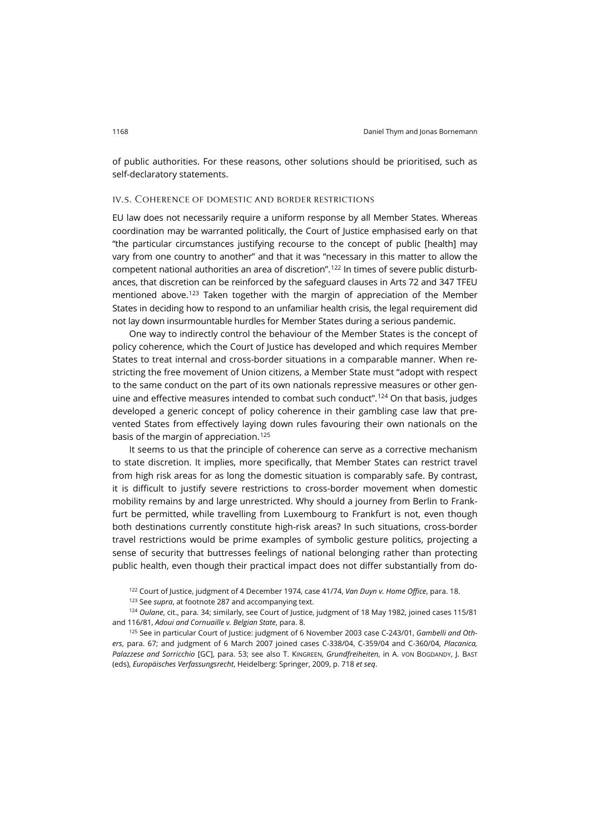of public authorities. For these reasons, other solutions should be prioritised, such as self-declaratory statements.

### iv.5. Coherence of domestic and border restrictions

EU law does not necessarily require a uniform response by all Member States. Whereas coordination may be warranted politically, the Court of Justice emphasised early on that "the particular circumstances justifying recourse to the concept of public [health] may vary from one country to another" and that it was "necessary in this matter to allow the competent national authorities an area of discretion".[122](#page-25-0) In times of severe public disturbances, that discretion can be reinforced by the safeguard clauses in Arts 72 and 347 TFEU mentioned above.<sup>[123](#page-25-1)</sup> Taken together with the margin of appreciation of the Member States in deciding how to respond to an unfamiliar health crisis, the legal requirement did not lay down insurmountable hurdles for Member States during a serious pandemic.

One way to indirectly control the behaviour of the Member States is the concept of policy coherence, which the Court of Justice has developed and which requires Member States to treat internal and cross-border situations in a comparable manner. When restricting the free movement of Union citizens, a Member State must "adopt with respect to the same conduct on the part of its own nationals repressive measures or other gen-uine and effective measures intended to combat such conduct".<sup>[124](#page-25-2)</sup> On that basis, judges developed a generic concept of policy coherence in their gambling case law that prevented States from effectively laying down rules favouring their own nationals on the basis of the margin of appreciation.<sup>[125](#page-25-3)</sup>

It seems to us that the principle of coherence can serve as a corrective mechanism to state discretion. It implies, more specifically, that Member States can restrict travel from high risk areas for as long the domestic situation is comparably safe. By contrast, it is difficult to justify severe restrictions to cross-border movement when domestic mobility remains by and large unrestricted. Why should a journey from Berlin to Frankfurt be permitted, while travelling from Luxembourg to Frankfurt is not, even though both destinations currently constitute high-risk areas? In such situations, cross-border travel restrictions would be prime examples of symbolic gesture politics, projecting a sense of security that buttresses feelings of national belonging rather than protecting public health, even though their practical impact does not differ substantially from do-

<sup>122</sup> Court of Justice, judgment of 4 December 1974, case 41/74, *Van Duyn v. Home Office*, para. 18.

<sup>123</sup> See *supra*, at footnot[e 287](#page-6-5) and accompanying text.

<span id="page-25-2"></span><span id="page-25-1"></span><span id="page-25-0"></span><sup>124</sup> *Oulane*, cit., para. 34; similarly, see Court of Justice, judgment of 18 May 1982, joined cases 115/81 and 116/81, *Adoui and Cornuaille v. Belgian State*, para. 8.

<span id="page-25-3"></span><sup>125</sup> See in particular Court of Justice: judgment of 6 November 2003 case C-243/01, *Gambelli and Others*, para. 67; and judgment of 6 March 2007 joined cases C-338/04, C-359/04 and C-360/04, *Placanica, Palazzese and Sorricchio* [GC], para. 53; see also T. KINGREEN, *Grundfreiheiten*, in A. VON BOGDANDY, J. BAST (eds), *Europäisches Verfassungsrecht*, Heidelberg: Springer, 2009, p. 718 *et seq*.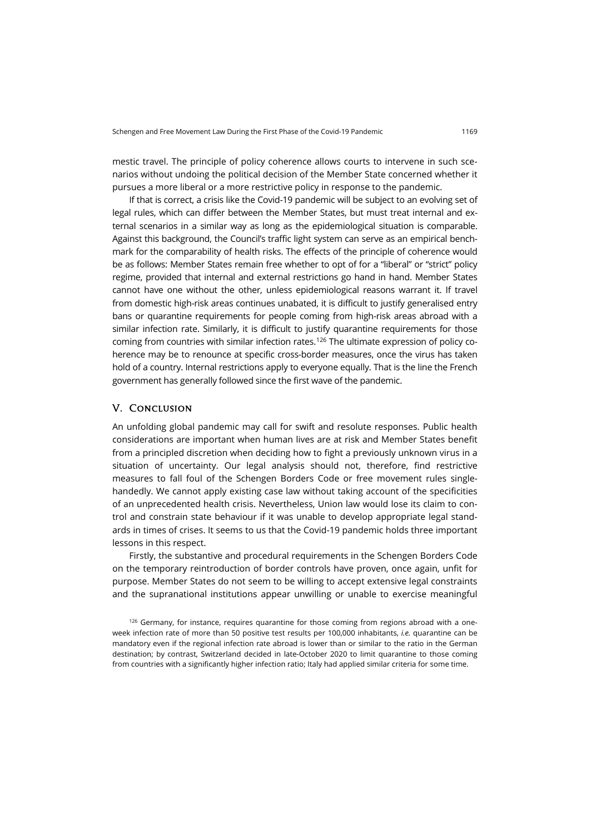mestic travel. The principle of policy coherence allows courts to intervene in such scenarios without undoing the political decision of the Member State concerned whether it pursues a more liberal or a more restrictive policy in response to the pandemic.

If that is correct, a crisis like the Covid-19 pandemic will be subject to an evolving set of legal rules, which can differ between the Member States, but must treat internal and external scenarios in a similar way as long as the epidemiological situation is comparable. Against this background, the Council's traffic light system can serve as an empirical benchmark for the comparability of health risks. The effects of the principle of coherence would be as follows: Member States remain free whether to opt of for a "liberal" or "strict" policy regime, provided that internal and external restrictions go hand in hand. Member States cannot have one without the other, unless epidemiological reasons warrant it. If travel from domestic high-risk areas continues unabated, it is difficult to justify generalised entry bans or quarantine requirements for people coming from high-risk areas abroad with a similar infection rate. Similarly, it is difficult to justify quarantine requirements for those coming from countries with similar infection rates.[126](#page-26-0) The ultimate expression of policy coherence may be to renounce at specific cross-border measures, once the virus has taken hold of a country. Internal restrictions apply to everyone equally. That is the line the French government has generally followed since the first wave of the pandemic.

### V. Conclusion

An unfolding global pandemic may call for swift and resolute responses. Public health considerations are important when human lives are at risk and Member States benefit from a principled discretion when deciding how to fight a previously unknown virus in a situation of uncertainty. Our legal analysis should not, therefore, find restrictive measures to fall foul of the Schengen Borders Code or free movement rules singlehandedly. We cannot apply existing case law without taking account of the specificities of an unprecedented health crisis. Nevertheless, Union law would lose its claim to control and constrain state behaviour if it was unable to develop appropriate legal standards in times of crises. It seems to us that the Covid-19 pandemic holds three important lessons in this respect.

Firstly, the substantive and procedural requirements in the Schengen Borders Code on the temporary reintroduction of border controls have proven, once again, unfit for purpose. Member States do not seem to be willing to accept extensive legal constraints and the supranational institutions appear unwilling or unable to exercise meaningful

<span id="page-26-0"></span> $126$  Germany, for instance, requires quarantine for those coming from regions abroad with a oneweek infection rate of more than 50 positive test results per 100,000 inhabitants, *i.e.* quarantine can be mandatory even if the regional infection rate abroad is lower than or similar to the ratio in the German destination; by contrast, Switzerland decided in late-October 2020 to limit quarantine to those coming from countries with a significantly higher infection ratio; Italy had applied similar criteria for some time.